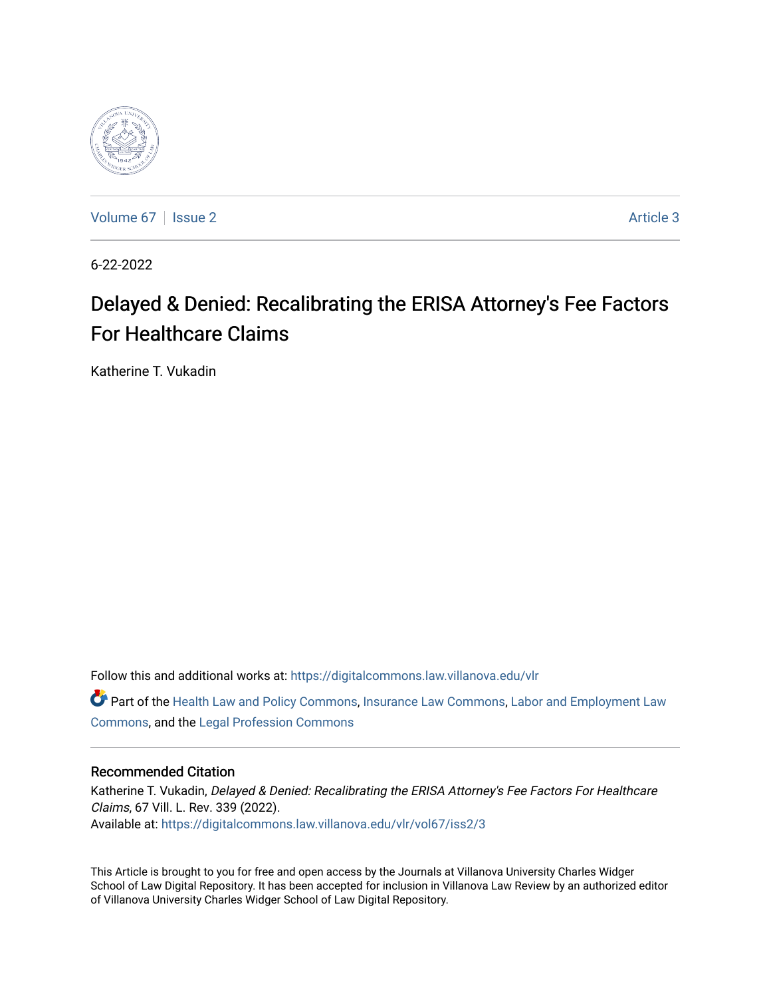

[Volume 67](https://digitalcommons.law.villanova.edu/vlr/vol67) | [Issue 2](https://digitalcommons.law.villanova.edu/vlr/vol67/iss2) Article 3

6-22-2022

# Delayed & Denied: Recalibrating the ERISA Attorney's Fee Factors For Healthcare Claims

Katherine T. Vukadin

Follow this and additional works at: [https://digitalcommons.law.villanova.edu/vlr](https://digitalcommons.law.villanova.edu/vlr?utm_source=digitalcommons.law.villanova.edu%2Fvlr%2Fvol67%2Fiss2%2F3&utm_medium=PDF&utm_campaign=PDFCoverPages)

Part of the [Health Law and Policy Commons](https://network.bepress.com/hgg/discipline/901?utm_source=digitalcommons.law.villanova.edu%2Fvlr%2Fvol67%2Fiss2%2F3&utm_medium=PDF&utm_campaign=PDFCoverPages), [Insurance Law Commons](https://network.bepress.com/hgg/discipline/607?utm_source=digitalcommons.law.villanova.edu%2Fvlr%2Fvol67%2Fiss2%2F3&utm_medium=PDF&utm_campaign=PDFCoverPages), [Labor and Employment Law](https://network.bepress.com/hgg/discipline/909?utm_source=digitalcommons.law.villanova.edu%2Fvlr%2Fvol67%2Fiss2%2F3&utm_medium=PDF&utm_campaign=PDFCoverPages) [Commons](https://network.bepress.com/hgg/discipline/909?utm_source=digitalcommons.law.villanova.edu%2Fvlr%2Fvol67%2Fiss2%2F3&utm_medium=PDF&utm_campaign=PDFCoverPages), and the [Legal Profession Commons](https://network.bepress.com/hgg/discipline/1075?utm_source=digitalcommons.law.villanova.edu%2Fvlr%2Fvol67%2Fiss2%2F3&utm_medium=PDF&utm_campaign=PDFCoverPages)

# Recommended Citation

Katherine T. Vukadin, Delayed & Denied: Recalibrating the ERISA Attorney's Fee Factors For Healthcare Claims, 67 Vill. L. Rev. 339 (2022). Available at: [https://digitalcommons.law.villanova.edu/vlr/vol67/iss2/3](https://digitalcommons.law.villanova.edu/vlr/vol67/iss2/3?utm_source=digitalcommons.law.villanova.edu%2Fvlr%2Fvol67%2Fiss2%2F3&utm_medium=PDF&utm_campaign=PDFCoverPages) 

This Article is brought to you for free and open access by the Journals at Villanova University Charles Widger School of Law Digital Repository. It has been accepted for inclusion in Villanova Law Review by an authorized editor of Villanova University Charles Widger School of Law Digital Repository.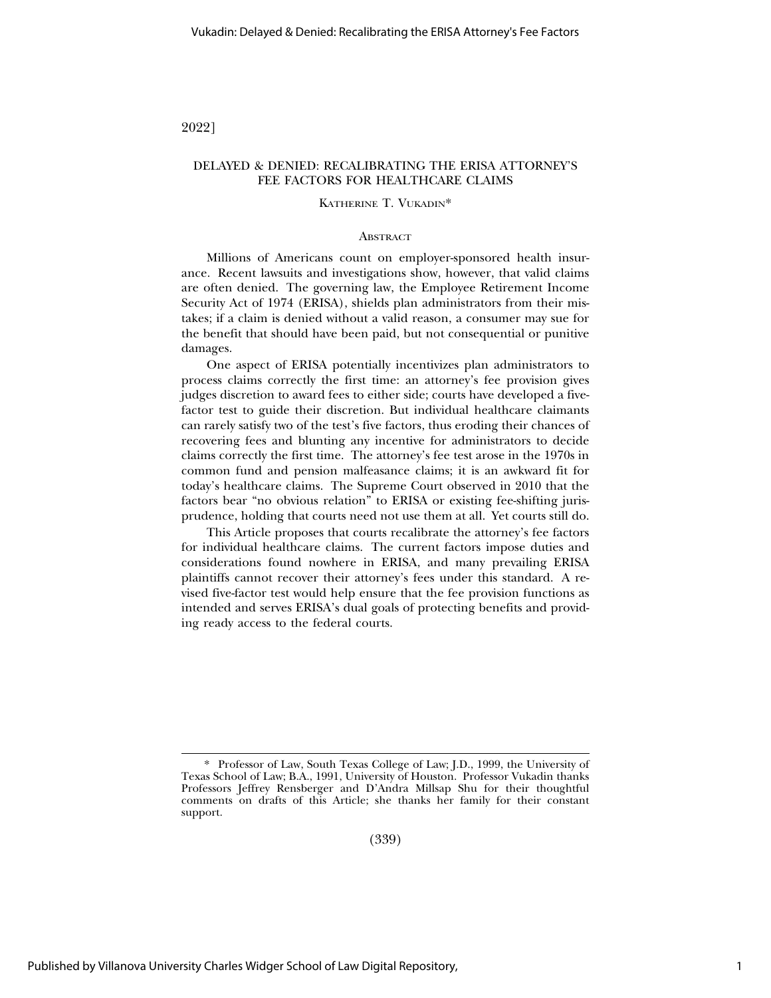2022]

# DELAYED & DENIED: RECALIBRATING THE ERISA ATTORNEY'S FEE FACTORS FOR HEALTHCARE CLAIMS

#### KATHERINE T. VUKADIN\*

#### **ABSTRACT**

Millions of Americans count on employer-sponsored health insurance. Recent lawsuits and investigations show, however, that valid claims are often denied. The governing law, the Employee Retirement Income Security Act of 1974 (ERISA), shields plan administrators from their mistakes; if a claim is denied without a valid reason, a consumer may sue for the benefit that should have been paid, but not consequential or punitive damages.

One aspect of ERISA potentially incentivizes plan administrators to process claims correctly the first time: an attorney's fee provision gives judges discretion to award fees to either side; courts have developed a fivefactor test to guide their discretion. But individual healthcare claimants can rarely satisfy two of the test's five factors, thus eroding their chances of recovering fees and blunting any incentive for administrators to decide claims correctly the first time. The attorney's fee test arose in the 1970s in common fund and pension malfeasance claims; it is an awkward fit for today's healthcare claims. The Supreme Court observed in 2010 that the factors bear "no obvious relation" to ERISA or existing fee-shifting jurisprudence, holding that courts need not use them at all. Yet courts still do.

This Article proposes that courts recalibrate the attorney's fee factors for individual healthcare claims. The current factors impose duties and considerations found nowhere in ERISA, and many prevailing ERISA plaintiffs cannot recover their attorney's fees under this standard. A revised five-factor test would help ensure that the fee provision functions as intended and serves ERISA's dual goals of protecting benefits and providing ready access to the federal courts.

(339)

<sup>\*</sup> Professor of Law, South Texas College of Law; J.D., 1999, the University of Texas School of Law; B.A., 1991, University of Houston. Professor Vukadin thanks Professors Jeffrey Rensberger and D'Andra Millsap Shu for their thoughtful comments on drafts of this Article; she thanks her family for their constant support.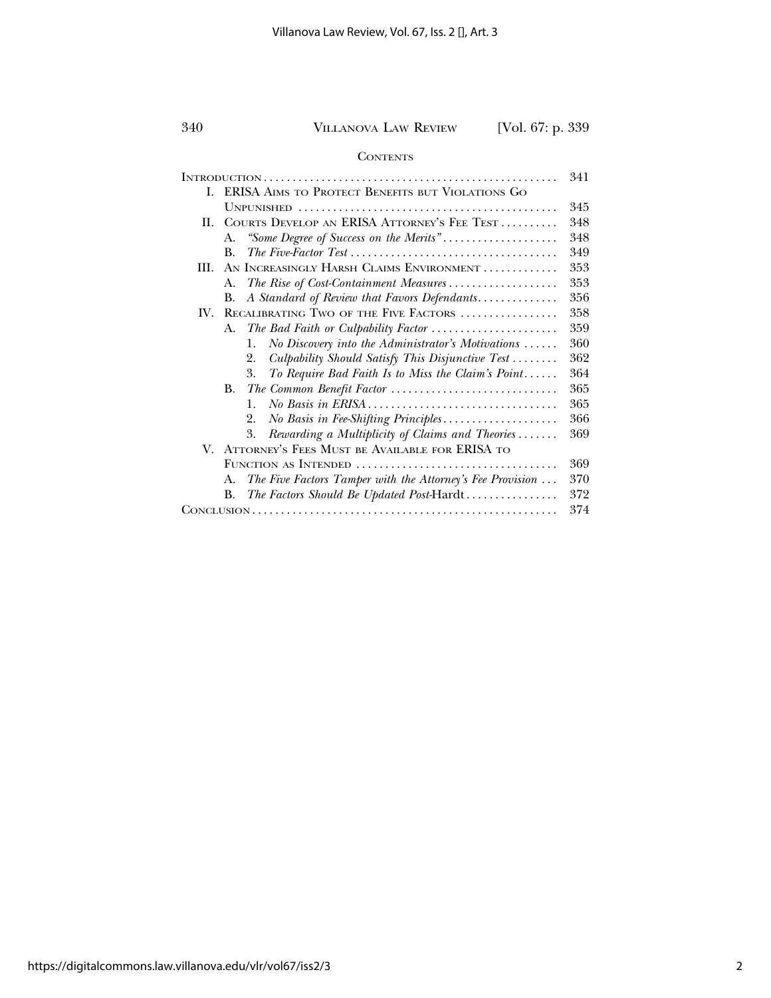#### **CONTENTS**

|     |                                                                    | 341 |
|-----|--------------------------------------------------------------------|-----|
| L   | ERISA AIMS TO PROTECT BENEFITS BUT VIOLATIONS GO                   |     |
|     |                                                                    | 345 |
| Н.  | COURTS DEVELOP AN ERISA ATTORNEY'S FEE TEST                        | 348 |
|     | "Some Degree of Success on the Merits"<br>А.                       | 348 |
|     | $\mathbf{B}$ .                                                     | 349 |
| HL. | AN INCREASINGLY HARSH CLAIMS ENVIRONMENT                           | 353 |
|     | The Rise of Cost-Containment Measures<br>A.                        | 353 |
|     | A Standard of Review that Favors Defendants<br>В.                  | 356 |
| IV. | RECALIBRATING TWO OF THE FIVE FACTORS                              | 358 |
|     | A.                                                                 | 359 |
|     | No Discovery into the Administrator's Motivations $\ldots$ .<br>1. | 360 |
|     | Culpability Should Satisfy This Disjunctive Test<br>2.             | 362 |
|     | To Require Bad Faith Is to Miss the Claim's Point<br>3.            | 364 |
|     | B.                                                                 | 365 |
|     | $\mathbf{1}$ .                                                     | 365 |
|     | No Basis in Fee-Shifting Principles<br>2.                          | 366 |
|     | Rewarding a Multiplicity of Claims and Theories<br>3.              | 369 |
|     | V. ATTORNEY'S FEES MUST BE AVAILABLE FOR ERISA TO                  |     |
|     |                                                                    | 369 |
|     | The Five Factors Tamper with the Attorney's Fee Provision<br>A.    | 370 |
|     | The Factors Should Be Updated Post-Hardt<br>B.                     | 372 |
|     |                                                                    |     |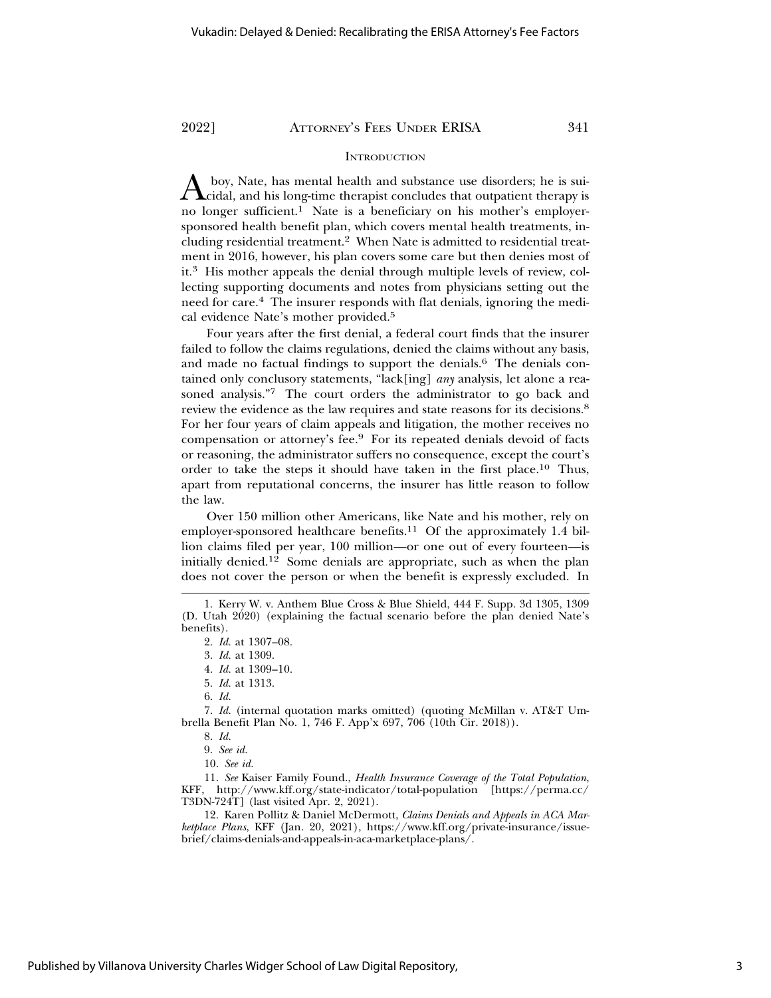# **INTRODUCTION**

A boy, Nate, has mental health and substance use disorders; he is sui-cidal, and his long-time therapist concludes that outpatient therapy is no longer sufficient.<sup>1</sup> Nate is a beneficiary on his mother's employersponsored health benefit plan, which covers mental health treatments, including residential treatment.2 When Nate is admitted to residential treatment in 2016, however, his plan covers some care but then denies most of it.3 His mother appeals the denial through multiple levels of review, collecting supporting documents and notes from physicians setting out the need for care.4 The insurer responds with flat denials, ignoring the medical evidence Nate's mother provided.5

Four years after the first denial, a federal court finds that the insurer failed to follow the claims regulations, denied the claims without any basis, and made no factual findings to support the denials.<sup>6</sup> The denials contained only conclusory statements, "lack[ing] *any* analysis, let alone a reasoned analysis."7 The court orders the administrator to go back and review the evidence as the law requires and state reasons for its decisions.<sup>8</sup> For her four years of claim appeals and litigation, the mother receives no compensation or attorney's fee.9 For its repeated denials devoid of facts or reasoning, the administrator suffers no consequence, except the court's order to take the steps it should have taken in the first place.<sup>10</sup> Thus, apart from reputational concerns, the insurer has little reason to follow the law.

Over 150 million other Americans, like Nate and his mother, rely on employer-sponsored healthcare benefits.<sup>11</sup> Of the approximately 1.4 billion claims filed per year, 100 million—or one out of every fourteen—is initially denied.12 Some denials are appropriate, such as when the plan does not cover the person or when the benefit is expressly excluded. In

7. *Id.* (internal quotation marks omitted) (quoting McMillan v. AT&T Umbrella Benefit Plan No. 1, 746 F. App'x 697, 706 (10th Cir. 2018)).

11. *See* Kaiser Family Found., *Health Insurance Coverage of the Total Population*, KFF, http://www.kff.org/state-indicator/total-population [https://perma.cc/ T3DN-724T] (last visited Apr. 2, 2021).

12. Karen Pollitz & Daniel McDermott, *Claims Denials and Appeals in ACA Marketplace Plans*, KFF (Jan. 20, 2021), https://www.kff.org/private-insurance/issuebrief/claims-denials-and-appeals-in-aca-marketplace-plans/.

<sup>1.</sup> Kerry W. v. Anthem Blue Cross & Blue Shield, 444 F. Supp. 3d 1305, 1309 (D. Utah 2020) (explaining the factual scenario before the plan denied Nate's benefits).

<sup>2.</sup> *Id.* at 1307–08.

<sup>3.</sup> *Id.* at 1309.

<sup>4.</sup> *Id.* at 1309–10.

<sup>5.</sup> *Id.* at 1313.

<sup>6.</sup> *Id.*

<sup>8.</sup> *Id.*

<sup>9.</sup> *See id.*

<sup>10.</sup> *See id.*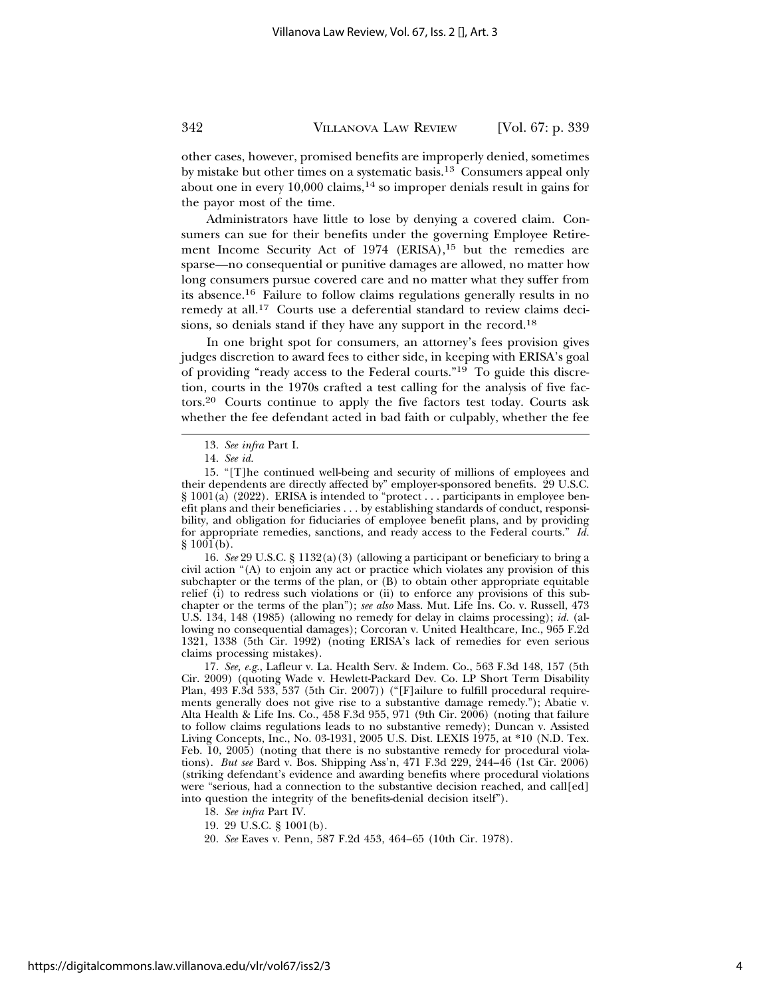other cases, however, promised benefits are improperly denied, sometimes by mistake but other times on a systematic basis.13 Consumers appeal only about one in every  $10,000$  claims,  $14$  so improper denials result in gains for the payor most of the time.

Administrators have little to lose by denying a covered claim. Consumers can sue for their benefits under the governing Employee Retirement Income Security Act of 1974 (ERISA),<sup>15</sup> but the remedies are sparse—no consequential or punitive damages are allowed, no matter how long consumers pursue covered care and no matter what they suffer from its absence.16 Failure to follow claims regulations generally results in no remedy at all.17 Courts use a deferential standard to review claims decisions, so denials stand if they have any support in the record.18

In one bright spot for consumers, an attorney's fees provision gives judges discretion to award fees to either side, in keeping with ERISA's goal of providing "ready access to the Federal courts."19 To guide this discretion, courts in the 1970s crafted a test calling for the analysis of five factors.20 Courts continue to apply the five factors test today. Courts ask whether the fee defendant acted in bad faith or culpably, whether the fee

16. *See* 29 U.S.C. § 1132(a)(3) (allowing a participant or beneficiary to bring a civil action "(A) to enjoin any act or practice which violates any provision of this subchapter or the terms of the plan,  $\alpha$  (B) to obtain other appropriate equitable relief (i) to redress such violations or (ii) to enforce any provisions of this subchapter or the terms of the plan"); *see also* Mass. Mut. Life Ins. Co. v. Russell, 473 U.S. 134, 148 (1985) (allowing no remedy for delay in claims processing); *id.* (allowing no consequential damages); Corcoran v. United Healthcare, Inc., 965 F.2d 1321, 1338 (5th Cir. 1992) (noting ERISA's lack of remedies for even serious claims processing mistakes).

17. *See, e.g.*, Lafleur v. La. Health Serv. & Indem. Co., 563 F.3d 148, 157 (5th Cir. 2009) (quoting Wade v. Hewlett-Packard Dev. Co. LP Short Term Disability Plan, 493 F.3d 533, 537 (5th Cir. 2007)) ("[F]ailure to fulfill procedural requirements generally does not give rise to a substantive damage remedy."); Abatie v. Alta Health & Life Ins. Co., 458 F.3d 955, 971 (9th Cir. 2006) (noting that failure to follow claims regulations leads to no substantive remedy); Duncan v. Assisted Living Concepts, Inc., No. 03-1931, 2005 U.S. Dist. LEXIS 1975, at \*10 (N.D. Tex. Feb. 10, 2005) (noting that there is no substantive remedy for procedural violations). *But see* Bard v. Bos. Shipping Ass'n, 471 F.3d 229, 244–46 (1st Cir. 2006) (striking defendant's evidence and awarding benefits where procedural violations were "serious, had a connection to the substantive decision reached, and call[ed] into question the integrity of the benefits-denial decision itself").

- 18. *See infra* Part IV.
- 19. 29 U.S.C. § 1001(b).
- 20. *See* Eaves v. Penn, 587 F.2d 453, 464–65 (10th Cir. 1978).

<sup>13.</sup> *See infra* Part I.

<sup>14.</sup> *See id.*

<sup>15. &</sup>quot;[T]he continued well-being and security of millions of employees and their dependents are directly affected by" employer-sponsored benefits. 29 U.S.C. § 1001(a) (2022). ERISA is intended to "protect... participants in employee benefit plans and their beneficiaries . . . by establishing standards of conduct, responsibility, and obligation for fiduciaries of employee benefit plans, and by providing for appropriate remedies, sanctions, and ready access to the Federal courts." *Id.*  $§ 1001(b).$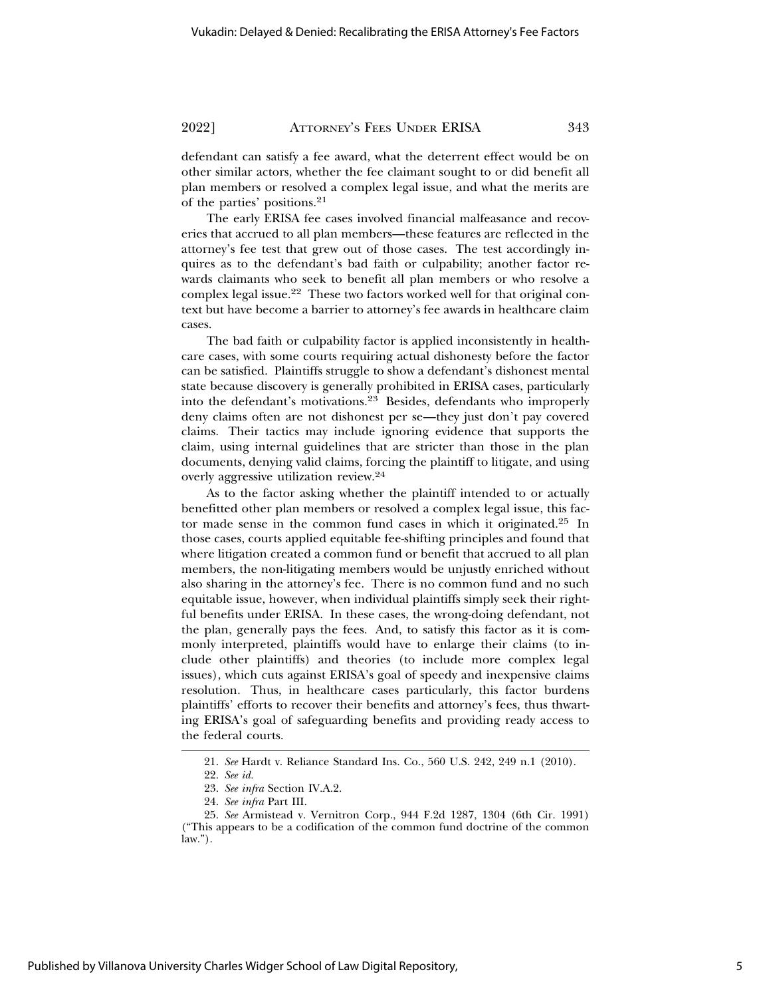defendant can satisfy a fee award, what the deterrent effect would be on other similar actors, whether the fee claimant sought to or did benefit all plan members or resolved a complex legal issue, and what the merits are of the parties' positions.21

The early ERISA fee cases involved financial malfeasance and recoveries that accrued to all plan members—these features are reflected in the attorney's fee test that grew out of those cases. The test accordingly inquires as to the defendant's bad faith or culpability; another factor rewards claimants who seek to benefit all plan members or who resolve a complex legal issue.22 These two factors worked well for that original context but have become a barrier to attorney's fee awards in healthcare claim cases.

The bad faith or culpability factor is applied inconsistently in healthcare cases, with some courts requiring actual dishonesty before the factor can be satisfied. Plaintiffs struggle to show a defendant's dishonest mental state because discovery is generally prohibited in ERISA cases, particularly into the defendant's motivations.23 Besides, defendants who improperly deny claims often are not dishonest per se—they just don't pay covered claims. Their tactics may include ignoring evidence that supports the claim, using internal guidelines that are stricter than those in the plan documents, denying valid claims, forcing the plaintiff to litigate, and using overly aggressive utilization review.<sup>24</sup>

As to the factor asking whether the plaintiff intended to or actually benefitted other plan members or resolved a complex legal issue, this factor made sense in the common fund cases in which it originated.25 In those cases, courts applied equitable fee-shifting principles and found that where litigation created a common fund or benefit that accrued to all plan members, the non-litigating members would be unjustly enriched without also sharing in the attorney's fee. There is no common fund and no such equitable issue, however, when individual plaintiffs simply seek their rightful benefits under ERISA. In these cases, the wrong-doing defendant, not the plan, generally pays the fees. And, to satisfy this factor as it is commonly interpreted, plaintiffs would have to enlarge their claims (to include other plaintiffs) and theories (to include more complex legal issues), which cuts against ERISA's goal of speedy and inexpensive claims resolution. Thus, in healthcare cases particularly, this factor burdens plaintiffs' efforts to recover their benefits and attorney's fees, thus thwarting ERISA's goal of safeguarding benefits and providing ready access to the federal courts.

<sup>21.</sup> *See* Hardt v. Reliance Standard Ins. Co., 560 U.S. 242, 249 n.1 (2010).

<sup>22.</sup> *See id.*

<sup>23.</sup> *See infra* Section IV.A.2.

<sup>24.</sup> *See infra* Part III.

<sup>25.</sup> *See* Armistead v. Vernitron Corp., 944 F.2d 1287, 1304 (6th Cir. 1991) ("This appears to be a codification of the common fund doctrine of the common law.").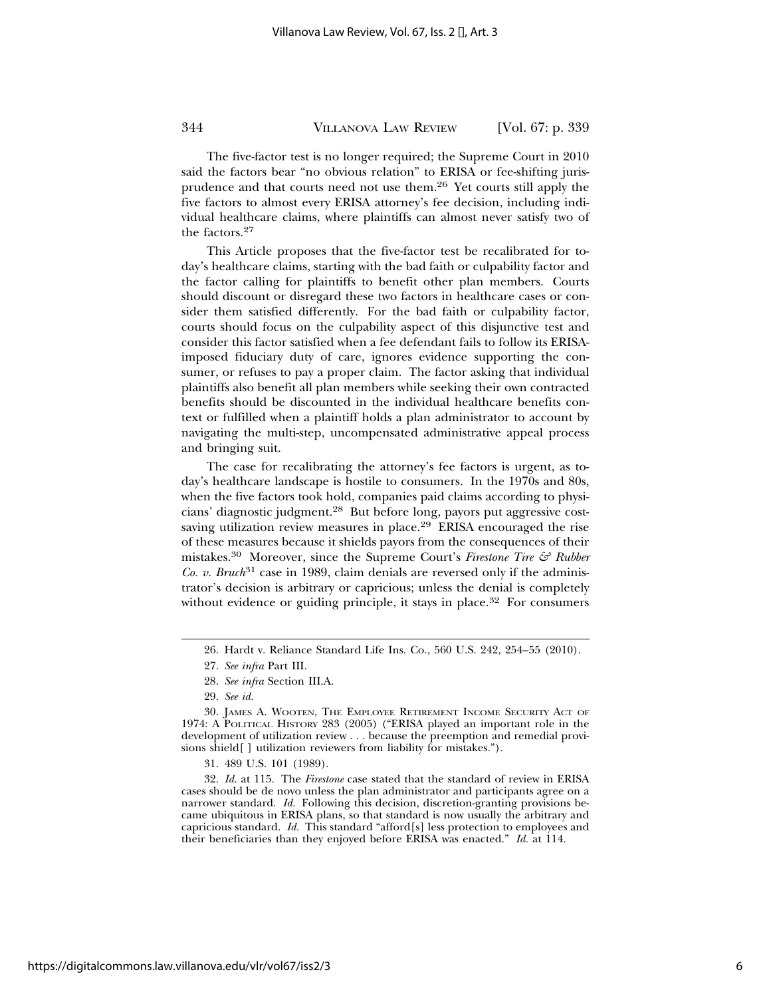The five-factor test is no longer required; the Supreme Court in 2010 said the factors bear "no obvious relation" to ERISA or fee-shifting jurisprudence and that courts need not use them.26 Yet courts still apply the five factors to almost every ERISA attorney's fee decision, including individual healthcare claims, where plaintiffs can almost never satisfy two of the factors.27

This Article proposes that the five-factor test be recalibrated for today's healthcare claims, starting with the bad faith or culpability factor and the factor calling for plaintiffs to benefit other plan members. Courts should discount or disregard these two factors in healthcare cases or consider them satisfied differently. For the bad faith or culpability factor, courts should focus on the culpability aspect of this disjunctive test and consider this factor satisfied when a fee defendant fails to follow its ERISAimposed fiduciary duty of care, ignores evidence supporting the consumer, or refuses to pay a proper claim. The factor asking that individual plaintiffs also benefit all plan members while seeking their own contracted benefits should be discounted in the individual healthcare benefits context or fulfilled when a plaintiff holds a plan administrator to account by navigating the multi-step, uncompensated administrative appeal process and bringing suit.

The case for recalibrating the attorney's fee factors is urgent, as today's healthcare landscape is hostile to consumers. In the 1970s and 80s, when the five factors took hold, companies paid claims according to physicians' diagnostic judgment.28 But before long, payors put aggressive costsaving utilization review measures in place.<sup>29</sup> ERISA encouraged the rise of these measures because it shields payors from the consequences of their mistakes.30 Moreover, since the Supreme Court's *Firestone Tire & Rubber Co. v. Bruch*<sup>31</sup> case in 1989, claim denials are reversed only if the administrator's decision is arbitrary or capricious; unless the denial is completely without evidence or guiding principle, it stays in place.<sup>32</sup> For consumers

32. *Id.* at 115. The *Firestone* case stated that the standard of review in ERISA cases should be de novo unless the plan administrator and participants agree on a narrower standard. *Id.* Following this decision, discretion-granting provisions became ubiquitous in ERISA plans, so that standard is now usually the arbitrary and capricious standard. *Id.* This standard "afford[s] less protection to employees and their beneficiaries than they enjoyed before ERISA was enacted." *Id.* at 114.

<sup>26.</sup> Hardt v. Reliance Standard Life Ins. Co., 560 U.S. 242, 254–55 (2010).

<sup>27.</sup> *See infra* Part III.

<sup>28.</sup> *See infra* Section III.A.

<sup>29.</sup> *See id.*

<sup>30.</sup> JAMES A. WOOTEN, THE EMPLOYEE RETIREMENT INCOME SECURITY ACT OF 1974: A POLITICAL HISTORY 283 (2005) ("ERISA played an important role in the development of utilization review . . . because the preemption and remedial provisions shield[ ] utilization reviewers from liability for mistakes.").

<sup>31. 489</sup> U.S. 101 (1989).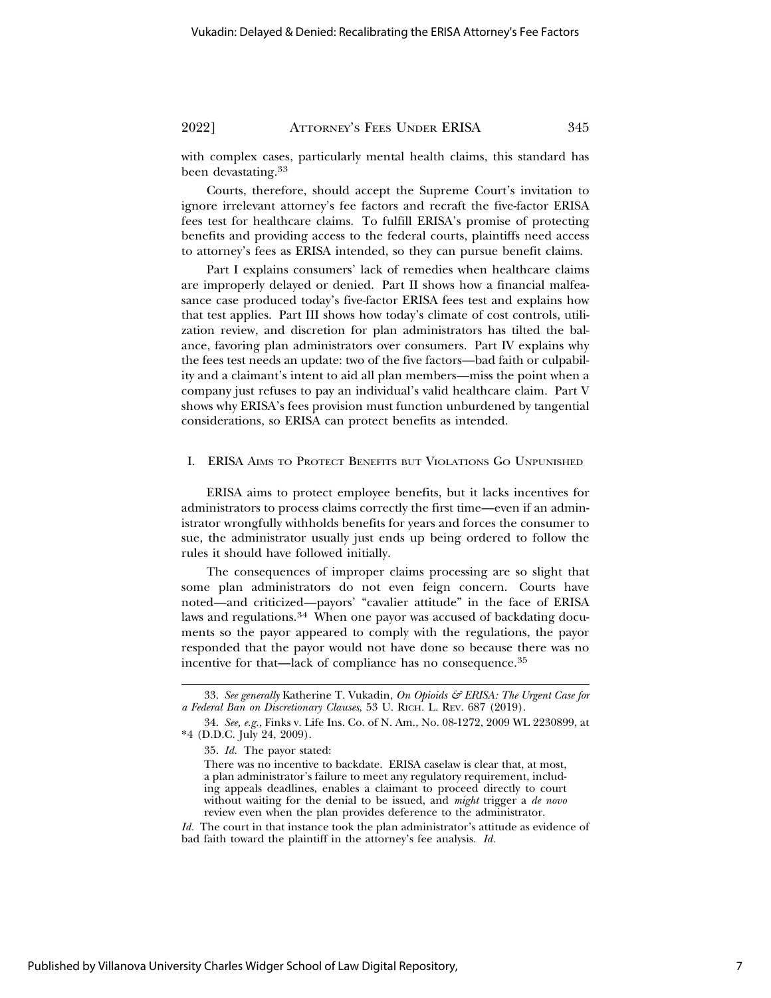with complex cases, particularly mental health claims, this standard has been devastating.33

Courts, therefore, should accept the Supreme Court's invitation to ignore irrelevant attorney's fee factors and recraft the five-factor ERISA fees test for healthcare claims. To fulfill ERISA's promise of protecting benefits and providing access to the federal courts, plaintiffs need access to attorney's fees as ERISA intended, so they can pursue benefit claims.

Part I explains consumers' lack of remedies when healthcare claims are improperly delayed or denied. Part II shows how a financial malfeasance case produced today's five-factor ERISA fees test and explains how that test applies. Part III shows how today's climate of cost controls, utilization review, and discretion for plan administrators has tilted the balance, favoring plan administrators over consumers. Part IV explains why the fees test needs an update: two of the five factors—bad faith or culpability and a claimant's intent to aid all plan members—miss the point when a company just refuses to pay an individual's valid healthcare claim. Part V shows why ERISA's fees provision must function unburdened by tangential considerations, so ERISA can protect benefits as intended.

#### I. ERISA AIMS TO PROTECT BENEFITS BUT VIOLATIONS GO UNPUNISHED

ERISA aims to protect employee benefits, but it lacks incentives for administrators to process claims correctly the first time—even if an administrator wrongfully withholds benefits for years and forces the consumer to sue, the administrator usually just ends up being ordered to follow the rules it should have followed initially.

The consequences of improper claims processing are so slight that some plan administrators do not even feign concern. Courts have noted—and criticized—payors' "cavalier attitude" in the face of ERISA laws and regulations.34 When one payor was accused of backdating documents so the payor appeared to comply with the regulations, the payor responded that the payor would not have done so because there was no incentive for that—lack of compliance has no consequence.35

<sup>33.</sup> *See generally* Katherine T. Vukadin, *On Opioids & ERISA: The Urgent Case for a Federal Ban on Discretionary Clauses*, 53 U. RICH. L. REV. 687 (2019).

<sup>34.</sup> *See, e.g.*, Finks v. Life Ins. Co. of N. Am., No. 08-1272, 2009 WL 2230899, at \*4 (D.D.C. July 24, 2009).

<sup>35.</sup> *Id.* The payor stated:

There was no incentive to backdate. ERISA caselaw is clear that, at most, a plan administrator's failure to meet any regulatory requirement, including appeals deadlines, enables a claimant to proceed directly to court without waiting for the denial to be issued, and *might* trigger a *de novo* review even when the plan provides deference to the administrator.

*Id.* The court in that instance took the plan administrator's attitude as evidence of bad faith toward the plaintiff in the attorney's fee analysis. *Id.*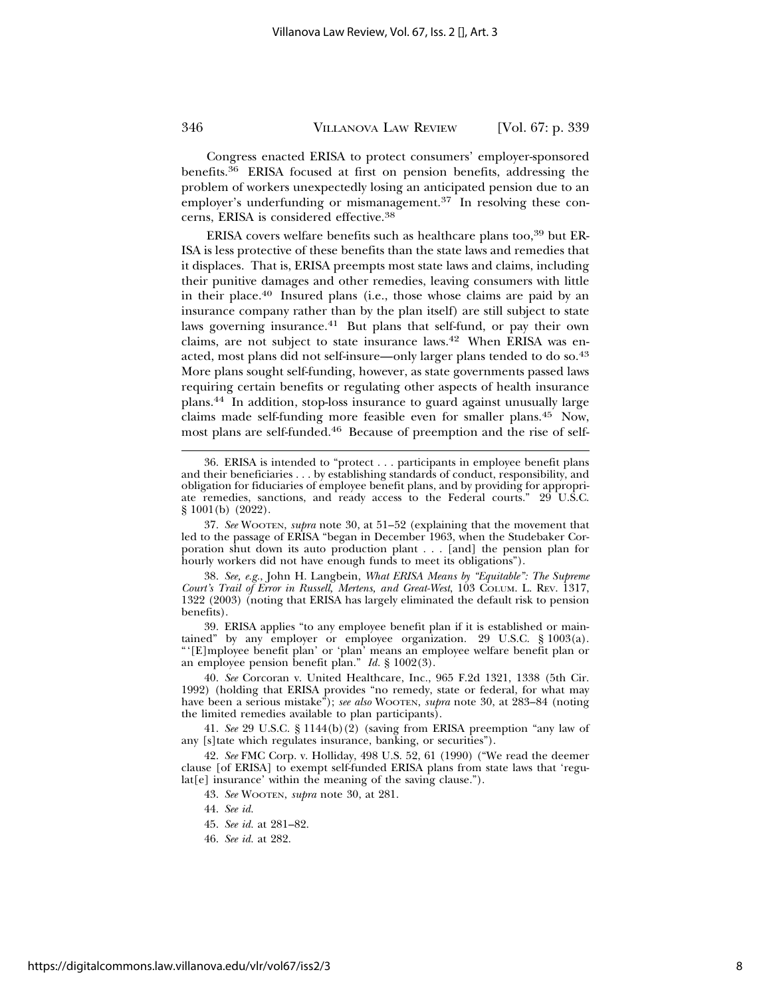Congress enacted ERISA to protect consumers' employer-sponsored benefits.36 ERISA focused at first on pension benefits, addressing the problem of workers unexpectedly losing an anticipated pension due to an employer's underfunding or mismanagement.<sup>37</sup> In resolving these concerns, ERISA is considered effective.38

ERISA covers welfare benefits such as healthcare plans too,39 but ER-ISA is less protective of these benefits than the state laws and remedies that it displaces. That is, ERISA preempts most state laws and claims, including their punitive damages and other remedies, leaving consumers with little in their place.40 Insured plans (i.e., those whose claims are paid by an insurance company rather than by the plan itself) are still subject to state laws governing insurance.<sup>41</sup> But plans that self-fund, or pay their own claims, are not subject to state insurance laws.42 When ERISA was enacted, most plans did not self-insure—only larger plans tended to do so.43 More plans sought self-funding, however, as state governments passed laws requiring certain benefits or regulating other aspects of health insurance plans.44 In addition, stop-loss insurance to guard against unusually large claims made self-funding more feasible even for smaller plans.45 Now, most plans are self-funded.46 Because of preemption and the rise of self-

37. *See* WOOTEN, *supra* note 30, at 51–52 (explaining that the movement that led to the passage of ERISA "began in December 1963, when the Studebaker Corporation shut down its auto production plant . . . [and] the pension plan for hourly workers did not have enough funds to meet its obligations").

38. *See, e.g.*, John H. Langbein, *What ERISA Means by "Equitable": The Supreme Court's Trail of Error in Russell, Mertens, and Great-West*, 103 COLUM. L. REV. 1317, 1322 (2003) (noting that ERISA has largely eliminated the default risk to pension benefits).

39. ERISA applies "to any employee benefit plan if it is established or maintained" by any employer or employee organization. 29 U.S.C. § 1003(a). "'[E]mployee benefit plan' or 'plan' means an employee welfare benefit plan or an employee pension benefit plan." *Id.* § 1002(3).

40. *See* Corcoran v. United Healthcare, Inc., 965 F.2d 1321, 1338 (5th Cir. 1992) (holding that ERISA provides "no remedy, state or federal, for what may have been a serious mistake"); *see also* WOOTEN, *supra* note 30, at 283–84 (noting the limited remedies available to plan participants).

41. *See* 29 U.S.C. § 1144(b)(2) (saving from ERISA preemption "any law of any [s]tate which regulates insurance, banking, or securities").

42. *See* FMC Corp. v. Holliday, 498 U.S. 52, 61 (1990) ("We read the deemer clause [of ERISA] to exempt self-funded ERISA plans from state laws that 'regulat[e] insurance' within the meaning of the saving clause.").

43. *See* WOOTEN, *supra* note 30, at 281.

- 44. *See id.*
- 45. *See id.* at 281–82.
- 46. *See id.* at 282.

<sup>36.</sup> ERISA is intended to "protect . . . participants in employee benefit plans and their beneficiaries . . . by establishing standards of conduct, responsibility, and obligation for fiduciaries of employee benefit plans, and by providing for appropriate remedies, sanctions, and ready access to the Federal courts." 29 U.S.C. § 1001(b) (2022).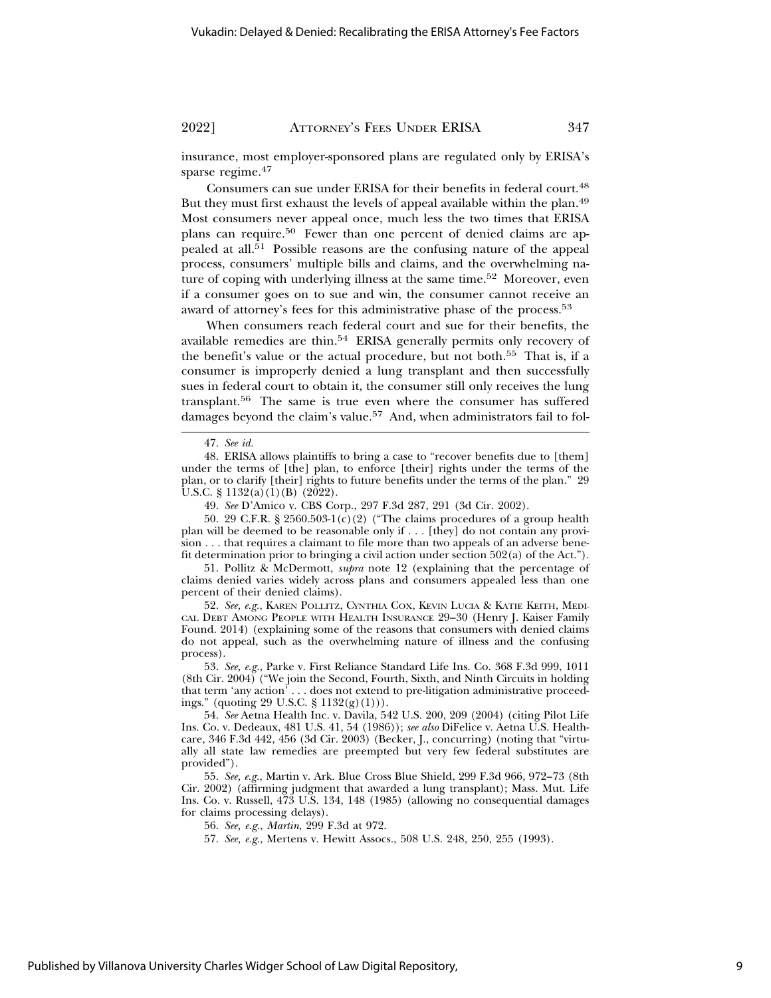insurance, most employer-sponsored plans are regulated only by ERISA's sparse regime.<sup>47</sup>

Consumers can sue under ERISA for their benefits in federal court.<sup>48</sup> But they must first exhaust the levels of appeal available within the plan.49 Most consumers never appeal once, much less the two times that ERISA plans can require.<sup>50</sup> Fewer than one percent of denied claims are appealed at all.<sup>51</sup> Possible reasons are the confusing nature of the appeal process, consumers' multiple bills and claims, and the overwhelming nature of coping with underlying illness at the same time.<sup>52</sup> Moreover, even if a consumer goes on to sue and win, the consumer cannot receive an award of attorney's fees for this administrative phase of the process.<sup>53</sup>

When consumers reach federal court and sue for their benefits, the available remedies are thin.54 ERISA generally permits only recovery of the benefit's value or the actual procedure, but not both.55 That is, if a consumer is improperly denied a lung transplant and then successfully sues in federal court to obtain it, the consumer still only receives the lung transplant.56 The same is true even where the consumer has suffered damages beyond the claim's value.<sup>57</sup> And, when administrators fail to fol-

50. 29 C.F.R. § 2560.503-1(c)(2) ("The claims procedures of a group health plan will be deemed to be reasonable only if . . . [they] do not contain any provision . . . that requires a claimant to file more than two appeals of an adverse benefit determination prior to bringing a civil action under section 502(a) of the Act.").

51. Pollitz & McDermott, *supra* note 12 (explaining that the percentage of claims denied varies widely across plans and consumers appealed less than one percent of their denied claims).

52. *See, e.g.*, KAREN POLLITZ, CYNTHIA COX, KEVIN LUCIA & KATIE KEITH, MEDI-CAL DEBT AMONG PEOPLE WITH HEALTH INSURANCE 29–30 (Henry J. Kaiser Family Found. 2014) (explaining some of the reasons that consumers with denied claims do not appeal, such as the overwhelming nature of illness and the confusing process).

53. *See, e.g.*, Parke v. First Reliance Standard Life Ins. Co. 368 F.3d 999, 1011 (8th Cir. 2004) ("We join the Second, Fourth, Sixth, and Ninth Circuits in holding that term 'any action' . . . does not extend to pre-litigation administrative proceedings." (quoting 29 U.S.C. § 1132(g)(1))).

54. *See* Aetna Health Inc. v. Davila, 542 U.S. 200, 209 (2004) (citing Pilot Life Ins. Co. v. Dedeaux, 481 U.S. 41, 54 (1986)); *see also* DiFelice v. Aetna U.S. Healthcare, 346 F.3d 442, 456 (3d Cir. 2003) (Becker, J., concurring) (noting that "virtually all state law remedies are preempted but very few federal substitutes are provided").

55. *See, e.g.*, Martin v. Ark. Blue Cross Blue Shield, 299 F.3d 966, 972–73 (8th Cir. 2002) (affirming judgment that awarded a lung transplant); Mass. Mut. Life Ins. Co. v. Russell, 473 U.S. 134, 148 (1985) (allowing no consequential damages for claims processing delays).

56. *See, e.g.*, *Martin*, 299 F.3d at 972.

57. *See, e.g.*, Mertens v. Hewitt Assocs., 508 U.S. 248, 250, 255 (1993).

<sup>47.</sup> *See id.*

<sup>48.</sup> ERISA allows plaintiffs to bring a case to "recover benefits due to [them] under the terms of [the] plan, to enforce [their] rights under the terms of the plan, or to clarify [their] rights to future benefits under the terms of the plan." 29 U.S.C.  $\S 1132(a)(1)(B)$  (2022).

<sup>49.</sup> *See* D'Amico v. CBS Corp., 297 F.3d 287, 291 (3d Cir. 2002).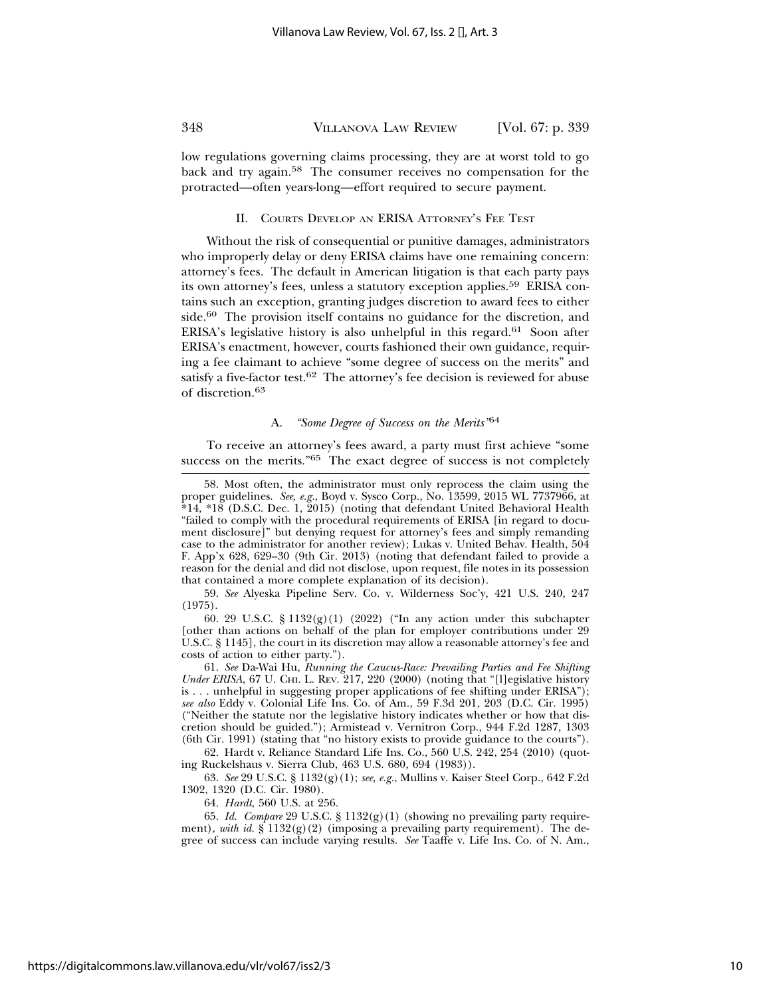low regulations governing claims processing, they are at worst told to go back and try again.58 The consumer receives no compensation for the protracted—often years-long—effort required to secure payment.

#### II. COURTS DEVELOP AN ERISA ATTORNEY'S FEE TEST

Without the risk of consequential or punitive damages, administrators who improperly delay or deny ERISA claims have one remaining concern: attorney's fees. The default in American litigation is that each party pays its own attorney's fees, unless a statutory exception applies.<sup>59</sup> ERISA contains such an exception, granting judges discretion to award fees to either side.<sup>60</sup> The provision itself contains no guidance for the discretion, and ERISA's legislative history is also unhelpful in this regard.61 Soon after ERISA's enactment, however, courts fashioned their own guidance, requiring a fee claimant to achieve "some degree of success on the merits" and satisfy a five-factor test.<sup>62</sup> The attorney's fee decision is reviewed for abuse of discretion.<sup>63</sup>

#### A. *"Some Degree of Success on the Merits"*<sup>64</sup>

To receive an attorney's fees award, a party must first achieve "some success on the merits."65 The exact degree of success is not completely

59. *See* Alyeska Pipeline Serv. Co. v. Wilderness Soc'y, 421 U.S. 240, 247 (1975).

60. 29 U.S.C. § 1132 $(g)(1)$  (2022) ("In any action under this subchapter [other than actions on behalf of the plan for employer contributions under 29 U.S.C. § 1145], the court in its discretion may allow a reasonable attorney's fee and costs of action to either party.").

61. *See* Da-Wai Hu, *Running the Caucus-Race: Prevailing Parties and Fee Shifting* Under ERISA, 67 U. CHI. L. REV. 217, 220 (2000) (noting that "[l]egislative history is . . . unhelpful in suggesting proper applications of fee shifting under ERISA"); *see also* Eddy v. Colonial Life Ins. Co. of Am., 59 F.3d 201, 203 (D.C. Cir. 1995) ("Neither the statute nor the legislative history indicates whether or how that discretion should be guided."); Armistead v. Vernitron Corp., 944 F.2d 1287, 1303 (6th Cir. 1991) (stating that "no history exists to provide guidance to the courts").

62. Hardt v. Reliance Standard Life Ins. Co., 560 U.S. 242, 254 (2010) (quoting Ruckelshaus v. Sierra Club, 463 U.S. 680, 694 (1983)).

63. *See* 29 U.S.C. § 1132(g)(1); *see, e.g.*, Mullins v. Kaiser Steel Corp., 642 F.2d 1302, 1320 (D.C. Cir. 1980).

64. *Hardt*, 560 U.S. at 256.

65. *Id. Compare* 29 U.S.C. § 1132(g)(1) (showing no prevailing party requirement), *with id.*  $\S 1132(g)(2)$  (imposing a prevailing party requirement). The degree of success can include varying results. *See* Taaffe v. Life Ins. Co. of N. Am.,

<sup>58.</sup> Most often, the administrator must only reprocess the claim using the proper guidelines. *See, e.g.*, Boyd v. Sysco Corp., No. 13599, 2015 WL 7737966, at \*14, \*18 (D.S.C. Dec. 1, 2015) (noting that defendant United Behavioral Health "failed to comply with the procedural requirements of ERISA [in regard to document disclosure]" but denying request for attorney's fees and simply remanding case to the administrator for another review); Lukas v. United Behav. Health, 504 F. App'x 628, 629–30 (9th Cir. 2013) (noting that defendant failed to provide a reason for the denial and did not disclose, upon request, file notes in its possession that contained a more complete explanation of its decision).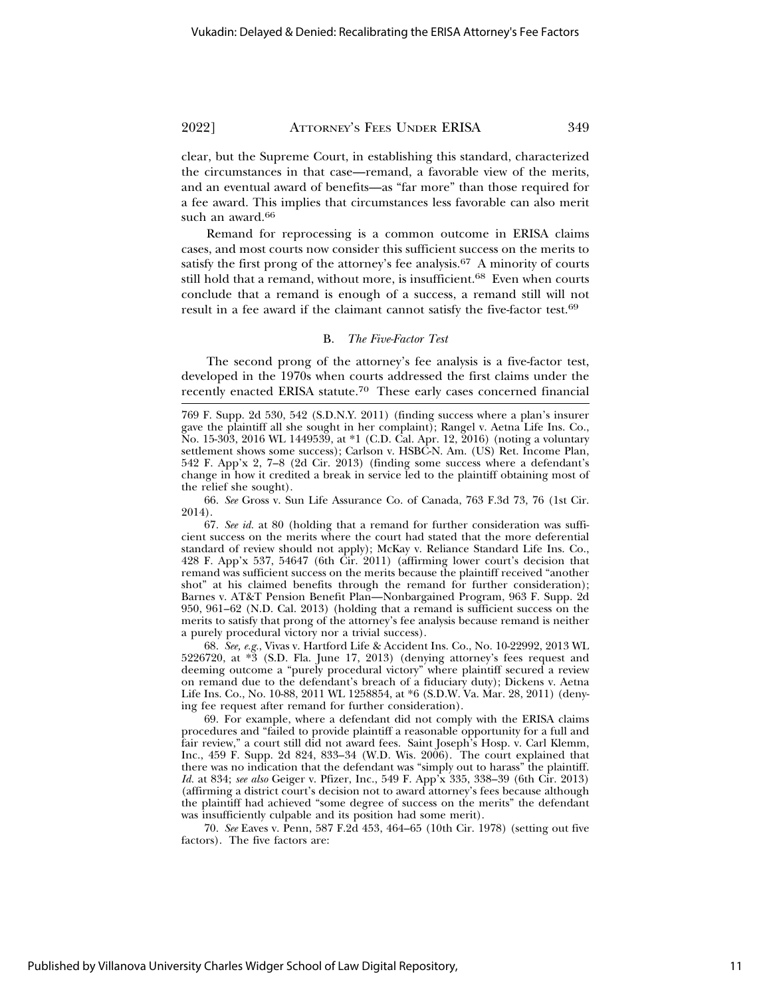clear, but the Supreme Court, in establishing this standard, characterized the circumstances in that case—remand, a favorable view of the merits, and an eventual award of benefits—as "far more" than those required for a fee award. This implies that circumstances less favorable can also merit such an award.<sup>66</sup>

Remand for reprocessing is a common outcome in ERISA claims cases, and most courts now consider this sufficient success on the merits to satisfy the first prong of the attorney's fee analysis. $67$  A minority of courts still hold that a remand, without more, is insufficient.<sup>68</sup> Even when courts conclude that a remand is enough of a success, a remand still will not result in a fee award if the claimant cannot satisfy the five-factor test.<sup>69</sup>

#### B. *The Five-Factor Test*

The second prong of the attorney's fee analysis is a five-factor test, developed in the 1970s when courts addressed the first claims under the recently enacted ERISA statute.70 These early cases concerned financial

66. *See* Gross v. Sun Life Assurance Co. of Canada, 763 F.3d 73, 76 (1st Cir. 2014).

67. *See id.* at 80 (holding that a remand for further consideration was sufficient success on the merits where the court had stated that the more deferential standard of review should not apply); McKay v. Reliance Standard Life Ins. Co., 428 F. App'x 537, 54647 (6th Cir. 2011) (affirming lower court's decision that remand was sufficient success on the merits because the plaintiff received "another shot" at his claimed benefits through the remand for further consideration); Barnes v. AT&T Pension Benefit Plan—Nonbargained Program, 963 F. Supp. 2d 950, 961–62 (N.D. Cal. 2013) (holding that a remand is sufficient success on the merits to satisfy that prong of the attorney's fee analysis because remand is neither a purely procedural victory nor a trivial success).

68. *See, e.g.*, Vivas v. Hartford Life & Accident Ins. Co., No. 10-22992, 2013 WL 5226720, at \*3 (S.D. Fla. June 17, 2013) (denying attorney's fees request and deeming outcome a "purely procedural victory" where plaintiff secured a review on remand due to the defendant's breach of a fiduciary duty); Dickens v. Aetna Life Ins. Co., No. 10-88, 2011 WL 1258854, at \*6 (S.D.W. Va. Mar. 28, 2011) (denying fee request after remand for further consideration).

69. For example, where a defendant did not comply with the ERISA claims procedures and "failed to provide plaintiff a reasonable opportunity for a full and fair review," a court still did not award fees. Saint Joseph's Hosp. v. Carl Klemm, Inc., 459 F. Supp. 2d 824, 833–34 (W.D. Wis. 2006). The court explained that there was no indication that the defendant was "simply out to harass" the plaintiff. *Id.* at 834; *see also* Geiger v. Pfizer, Inc., 549 F. App'x 335, 338–39 (6th Cir. 2013) (affirming a district court's decision not to award attorney's fees because although the plaintiff had achieved "some degree of success on the merits" the defendant was insufficiently culpable and its position had some merit).

70. *See* Eaves v. Penn, 587 F.2d 453, 464–65 (10th Cir. 1978) (setting out five factors). The five factors are:

<sup>769</sup> F. Supp. 2d 530, 542 (S.D.N.Y. 2011) (finding success where a plan's insurer gave the plaintiff all she sought in her complaint); Rangel v. Aetna Life Ins. Co., No. 15-303, 2016 WL 1449539, at \*1 (C.D. Cal. Apr. 12, 2016) (noting a voluntary settlement shows some success); Carlson v. HSBC-N. Am. (US) Ret. Income Plan, 542 F. App'x 2, 7–8 (2d Cir. 2013) (finding some success where a defendant's change in how it credited a break in service led to the plaintiff obtaining most of the relief she sought).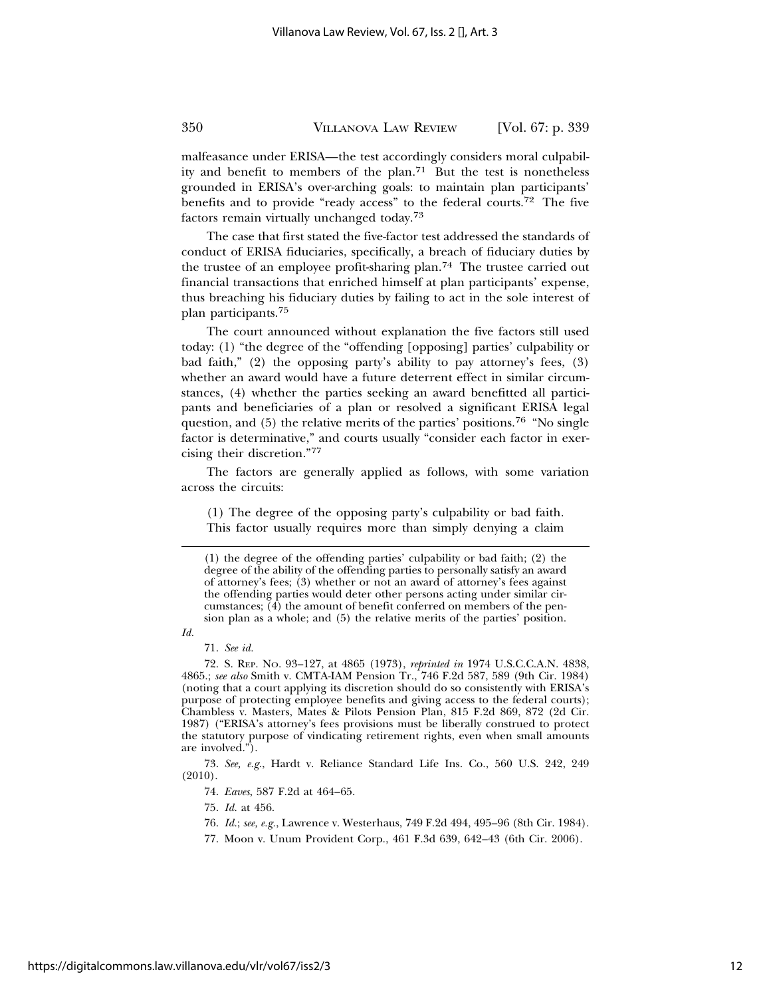malfeasance under ERISA—the test accordingly considers moral culpability and benefit to members of the plan.71 But the test is nonetheless grounded in ERISA's over-arching goals: to maintain plan participants' benefits and to provide "ready access" to the federal courts.72 The five factors remain virtually unchanged today.73

The case that first stated the five-factor test addressed the standards of conduct of ERISA fiduciaries, specifically, a breach of fiduciary duties by the trustee of an employee profit-sharing plan.<sup>74</sup> The trustee carried out financial transactions that enriched himself at plan participants' expense, thus breaching his fiduciary duties by failing to act in the sole interest of plan participants.75

The court announced without explanation the five factors still used today: (1) "the degree of the "offending [opposing] parties' culpability or bad faith," (2) the opposing party's ability to pay attorney's fees, (3) whether an award would have a future deterrent effect in similar circumstances, (4) whether the parties seeking an award benefitted all participants and beneficiaries of a plan or resolved a significant ERISA legal question, and (5) the relative merits of the parties' positions.76 "No single factor is determinative," and courts usually "consider each factor in exercising their discretion."<sup>77</sup>

The factors are generally applied as follows, with some variation across the circuits:

(1) The degree of the opposing party's culpability or bad faith. This factor usually requires more than simply denying a claim

*Id.*

71. *See id.*

72. S. REP. NO. 93–127, at 4865 (1973), *reprinted in* 1974 U.S.C.C.A.N. 4838, 4865.; *see also* Smith v. CMTA-IAM Pension Tr., 746 F.2d 587, 589 (9th Cir. 1984) (noting that a court applying its discretion should do so consistently with ERISA's purpose of protecting employee benefits and giving access to the federal courts); Chambless v. Masters, Mates & Pilots Pension Plan, 815 F.2d 869, 872 (2d Cir. 1987) ("ERISA's attorney's fees provisions must be liberally construed to protect the statutory purpose of vindicating retirement rights, even when small amounts are involved.").

73. *See, e.g.*, Hardt v. Reliance Standard Life Ins. Co., 560 U.S. 242, 249 (2010).

74. *Eaves*, 587 F.2d at 464–65.

75. *Id.* at 456.

76. *Id.*; *see, e.g.*, Lawrence v. Westerhaus, 749 F.2d 494, 495–96 (8th Cir. 1984).

77. Moon v. Unum Provident Corp., 461 F.3d 639, 642–43 (6th Cir. 2006).

https://digitalcommons.law.villanova.edu/vlr/vol67/iss2/3

<sup>(1)</sup> the degree of the offending parties' culpability or bad faith; (2) the degree of the ability of the offending parties to personally satisfy an award of attorney's fees; (3) whether or not an award of attorney's fees against the offending parties would deter other persons acting under similar circumstances;  $(4)$  the amount of benefit conferred on members of the pension plan as a whole; and (5) the relative merits of the parties' position.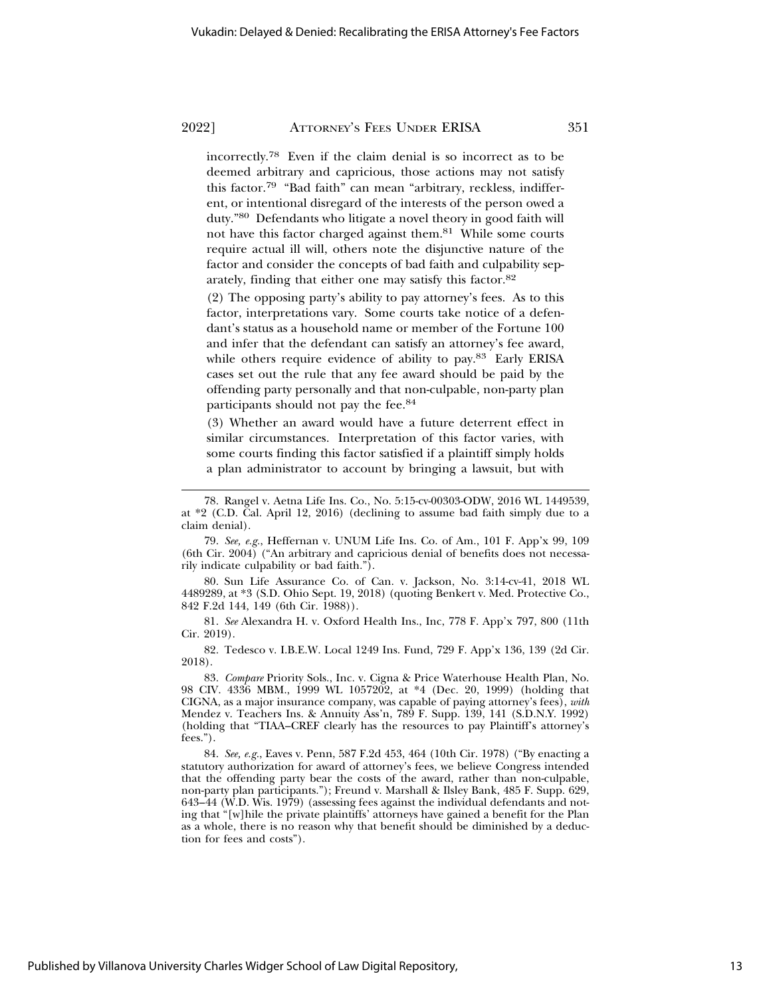incorrectly.78 Even if the claim denial is so incorrect as to be deemed arbitrary and capricious, those actions may not satisfy this factor.79 "Bad faith" can mean "arbitrary, reckless, indifferent, or intentional disregard of the interests of the person owed a duty."80 Defendants who litigate a novel theory in good faith will not have this factor charged against them.81 While some courts require actual ill will, others note the disjunctive nature of the factor and consider the concepts of bad faith and culpability separately, finding that either one may satisfy this factor.82

(2) The opposing party's ability to pay attorney's fees. As to this factor, interpretations vary. Some courts take notice of a defendant's status as a household name or member of the Fortune 100 and infer that the defendant can satisfy an attorney's fee award, while others require evidence of ability to pay.<sup>83</sup> Early ERISA cases set out the rule that any fee award should be paid by the offending party personally and that non-culpable, non-party plan participants should not pay the fee.84

(3) Whether an award would have a future deterrent effect in similar circumstances. Interpretation of this factor varies, with some courts finding this factor satisfied if a plaintiff simply holds a plan administrator to account by bringing a lawsuit, but with

80. Sun Life Assurance Co. of Can. v. Jackson, No. 3:14-cv-41, 2018 WL 4489289, at \*3 (S.D. Ohio Sept. 19, 2018) (quoting Benkert v. Med. Protective Co., 842 F.2d 144, 149 (6th Cir. 1988)).

81. *See* Alexandra H. v. Oxford Health Ins., Inc, 778 F. App'x 797, 800 (11th Cir. 2019).

82. Tedesco v. I.B.E.W. Local 1249 Ins. Fund, 729 F. App'x 136, 139 (2d Cir. 2018).

83. *Compare* Priority Sols., Inc. v. Cigna & Price Waterhouse Health Plan, No. 98 CIV. 4336 MBM., 1999 WL 1057202, at \*4 (Dec. 20, 1999) (holding that CIGNA, as a major insurance company, was capable of paying attorney's fees), *with* Mendez v. Teachers Ins. & Annuity Ass'n, 789 F. Supp. 139, 141 (S.D.N.Y. 1992) (holding that "TIAA–CREF clearly has the resources to pay Plaintiff's attorney's fees.").

84. *See, e.g.*, Eaves v. Penn, 587 F.2d 453, 464 (10th Cir. 1978) ("By enacting a statutory authorization for award of attorney's fees, we believe Congress intended that the offending party bear the costs of the award, rather than non-culpable, non-party plan participants."); Freund v. Marshall & Ilsley Bank, 485 F. Supp. 629, 643–44 (W.D. Wis. 1979) (assessing fees against the individual defendants and noting that "[w]hile the private plaintiffs' attorneys have gained a benefit for the Plan as a whole, there is no reason why that benefit should be diminished by a deduction for fees and costs").

<sup>78.</sup> Rangel v. Aetna Life Ins. Co., No. 5:15-cv-00303-ODW, 2016 WL 1449539, at \*2 (C.D. Cal. April 12, 2016) (declining to assume bad faith simply due to a claim denial).

<sup>79.</sup> *See, e.g.*, Heffernan v. UNUM Life Ins. Co. of Am., 101 F. App'x 99, 109 (6th Cir. 2004) ("An arbitrary and capricious denial of benefits does not necessarily indicate culpability or bad faith.").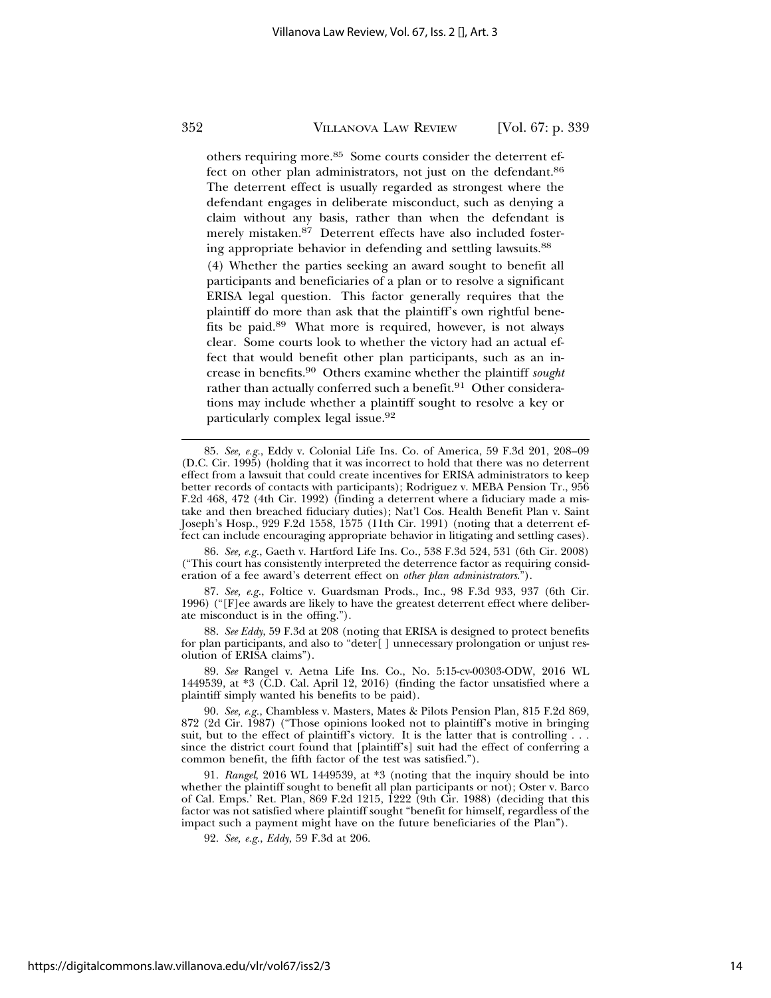others requiring more.85 Some courts consider the deterrent effect on other plan administrators, not just on the defendant.<sup>86</sup> The deterrent effect is usually regarded as strongest where the defendant engages in deliberate misconduct, such as denying a claim without any basis, rather than when the defendant is merely mistaken.87 Deterrent effects have also included fostering appropriate behavior in defending and settling lawsuits.<sup>88</sup>

(4) Whether the parties seeking an award sought to benefit all participants and beneficiaries of a plan or to resolve a significant ERISA legal question. This factor generally requires that the plaintiff do more than ask that the plaintiff's own rightful benefits be paid.89 What more is required, however, is not always clear. Some courts look to whether the victory had an actual effect that would benefit other plan participants, such as an increase in benefits.90 Others examine whether the plaintiff *sought* rather than actually conferred such a benefit.<sup>91</sup> Other considerations may include whether a plaintiff sought to resolve a key or particularly complex legal issue.92

86. *See, e.g.*, Gaeth v. Hartford Life Ins. Co., 538 F.3d 524, 531 (6th Cir. 2008) ("This court has consistently interpreted the deterrence factor as requiring consideration of a fee award's deterrent effect on *other plan administrators*.").

87. *See, e.g.*, Foltice v. Guardsman Prods., Inc., 98 F.3d 933, 937 (6th Cir. 1996) ("[F]ee awards are likely to have the greatest deterrent effect where deliberate misconduct is in the offing.").

88. *See Eddy*, 59 F.3d at 208 (noting that ERISA is designed to protect benefits for plan participants, and also to "deter[ ] unnecessary prolongation or unjust resolution of ERISA claims").

89. *See* Rangel v. Aetna Life Ins. Co., No. 5:15-cv-00303-ODW, 2016 WL 1449539, at \*3 (C.D. Cal. April 12, 2016) (finding the factor unsatisfied where a plaintiff simply wanted his benefits to be paid).

<sup>85.</sup> *See, e.g.*, Eddy v. Colonial Life Ins. Co. of America, 59 F.3d 201, 208–09 (D.C. Cir. 1995) (holding that it was incorrect to hold that there was no deterrent effect from a lawsuit that could create incentives for ERISA administrators to keep better records of contacts with participants); Rodriguez v. MEBA Pension Tr., 956 F.2d 468, 472 (4th Cir. 1992) (finding a deterrent where a fiduciary made a mistake and then breached fiduciary duties); Nat'l Cos. Health Benefit Plan v. Saint Joseph's Hosp., 929 F.2d 1558, 1575 (11th Cir. 1991) (noting that a deterrent effect can include encouraging appropriate behavior in litigating and settling cases).

<sup>90.</sup> *See, e.g.*, Chambless v. Masters, Mates & Pilots Pension Plan, 815 F.2d 869, 872 (2d Cir. 1987) ("Those opinions looked not to plaintiff's motive in bringing suit, but to the effect of plaintiff's victory. It is the latter that is controlling . . . since the district court found that [plaintiff's] suit had the effect of conferring a common benefit, the fifth factor of the test was satisfied.").

<sup>91.</sup> *Rangel*, 2016 WL 1449539, at \*3 (noting that the inquiry should be into whether the plaintiff sought to benefit all plan participants or not); Oster v. Barco of Cal. Emps.' Ret. Plan, 869 F.2d 1215, 1222 (9th Cir. 1988) (deciding that this factor was not satisfied where plaintiff sought "benefit for himself, regardless of the impact such a payment might have on the future beneficiaries of the Plan").

<sup>92.</sup> *See, e.g.*, *Eddy*, 59 F.3d at 206.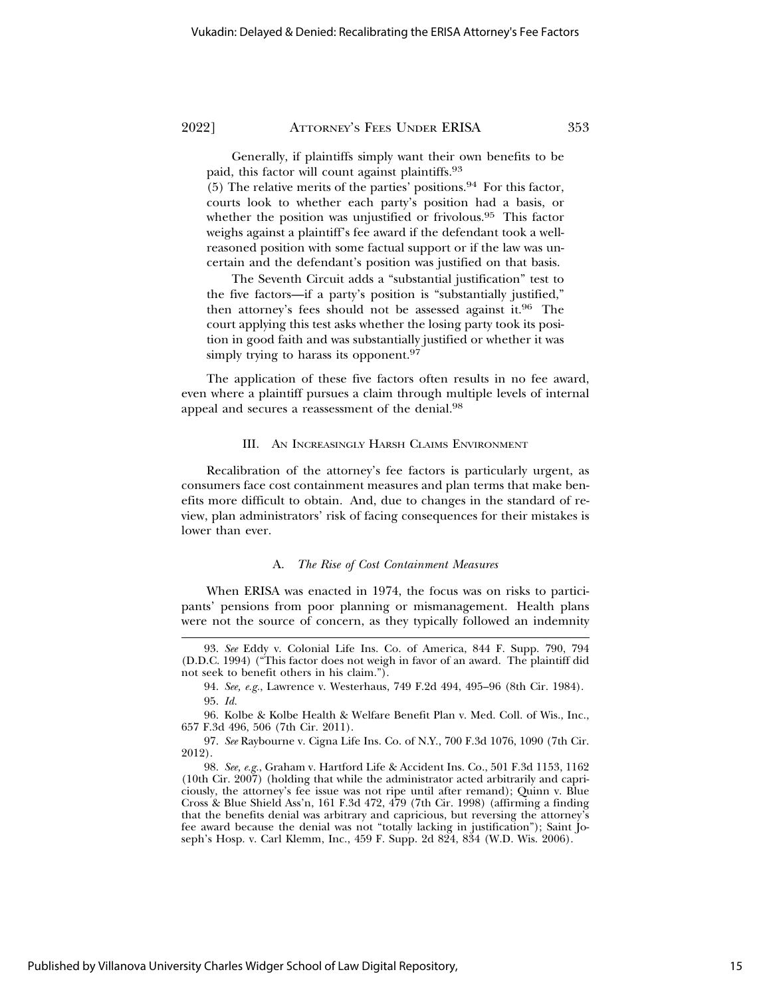Generally, if plaintiffs simply want their own benefits to be paid, this factor will count against plaintiffs.93

(5) The relative merits of the parties' positions.<sup>94</sup> For this factor, courts look to whether each party's position had a basis, or whether the position was unjustified or frivolous.95 This factor weighs against a plaintiff's fee award if the defendant took a wellreasoned position with some factual support or if the law was uncertain and the defendant's position was justified on that basis.

The Seventh Circuit adds a "substantial justification" test to the five factors—if a party's position is "substantially justified," then attorney's fees should not be assessed against it.96 The court applying this test asks whether the losing party took its position in good faith and was substantially justified or whether it was simply trying to harass its opponent.<sup>97</sup>

The application of these five factors often results in no fee award, even where a plaintiff pursues a claim through multiple levels of internal appeal and secures a reassessment of the denial.98

#### III. AN INCREASINGLY HARSH CLAIMS ENVIRONMENT

Recalibration of the attorney's fee factors is particularly urgent, as consumers face cost containment measures and plan terms that make benefits more difficult to obtain. And, due to changes in the standard of review, plan administrators' risk of facing consequences for their mistakes is lower than ever.

#### A. *The Rise of Cost Containment Measures*

When ERISA was enacted in 1974, the focus was on risks to participants' pensions from poor planning or mismanagement. Health plans were not the source of concern, as they typically followed an indemnity

<sup>93.</sup> *See* Eddy v. Colonial Life Ins. Co. of America, 844 F. Supp. 790, 794 (D.D.C. 1994) ("This factor does not weigh in favor of an award. The plaintiff did not seek to benefit others in his claim.").

<sup>94.</sup> *See, e.g.*, Lawrence v. Westerhaus, 749 F.2d 494, 495–96 (8th Cir. 1984). 95. *Id.*

<sup>96.</sup> Kolbe & Kolbe Health & Welfare Benefit Plan v. Med. Coll. of Wis., Inc., 657 F.3d 496, 506 (7th Cir. 2011).

<sup>97.</sup> *See* Raybourne v. Cigna Life Ins. Co. of N.Y., 700 F.3d 1076, 1090 (7th Cir. 2012).

<sup>98.</sup> *See, e.g.*, Graham v. Hartford Life & Accident Ins. Co., 501 F.3d 1153, 1162 (10th Cir. 2007) (holding that while the administrator acted arbitrarily and capriciously, the attorney's fee issue was not ripe until after remand); Quinn v. Blue Cross & Blue Shield Ass'n, 161 F.3d 472, 479 (7th Cir. 1998) (affirming a finding that the benefits denial was arbitrary and capricious, but reversing the attorney's fee award because the denial was not "totally lacking in justification"); Saint Joseph's Hosp. v. Carl Klemm, Inc., 459 F. Supp. 2d 824, 834 (W.D. Wis. 2006).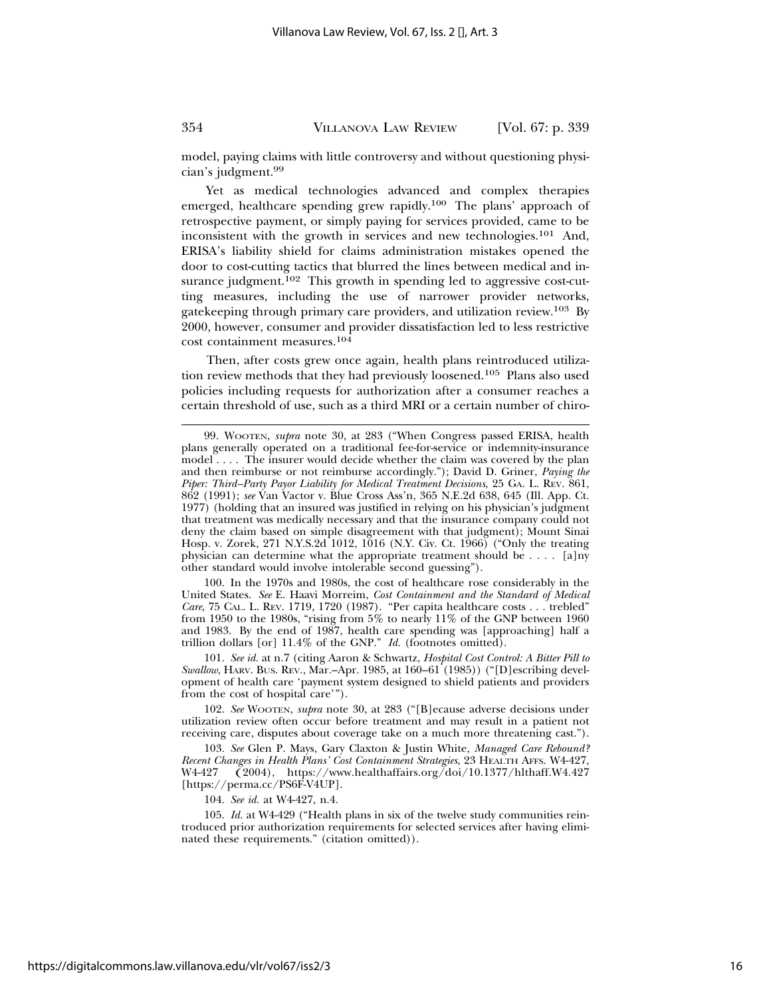model, paying claims with little controversy and without questioning physician's judgment.99

Yet as medical technologies advanced and complex therapies emerged, healthcare spending grew rapidly.100 The plans' approach of retrospective payment, or simply paying for services provided, came to be inconsistent with the growth in services and new technologies.<sup>101</sup> And, ERISA's liability shield for claims administration mistakes opened the door to cost-cutting tactics that blurred the lines between medical and insurance judgment.<sup>102</sup> This growth in spending led to aggressive cost-cutting measures, including the use of narrower provider networks, gatekeeping through primary care providers, and utilization review.103 By 2000, however, consumer and provider dissatisfaction led to less restrictive cost containment measures.<sup>104</sup>

Then, after costs grew once again, health plans reintroduced utilization review methods that they had previously loosened.105 Plans also used policies including requests for authorization after a consumer reaches a certain threshold of use, such as a third MRI or a certain number of chiro-

100. In the 1970s and 1980s, the cost of healthcare rose considerably in the United States. *See* E. Haavi Morreim, *Cost Containment and the Standard of Medical Care*, 75 CAL. L. REV. 1719, 1720 (1987). "Per capita healthcare costs . . . trebled" from 1950 to the 1980s, "rising from 5% to nearly 11% of the GNP between 1960 and 1983. By the end of 1987, health care spending was [approaching] half a trillion dollars [or] 11.4% of the GNP." *Id.* (footnotes omitted).

101. *See id.* at n.7 (citing Aaron & Schwartz, *Hospital Cost Control: A Bitter Pill to Swallow*, HARV. BUS. REV., Mar.–Apr. 1985, at 160–61 (1985)) ("[D]escribing development of health care 'payment system designed to shield patients and providers from the cost of hospital care'").

102. *See* WOOTEN, *supra* note 30, at 283 ("[B]ecause adverse decisions under utilization review often occur before treatment and may result in a patient not receiving care, disputes about coverage take on a much more threatening cast.").

103. *See* Glen P. Mays, Gary Claxton & Justin White, *Managed Care Rebound? Recent Changes in Health Plans' Cost Containment Strategies*, 23 HEALTH AFFS. W4-427, W4-427, W4-427, W4-427,  $\check{(2004)}$ , https://www.healthaffairs.org/doi/10.1377/hlthaff.W4.427 [https://perma.cc/PS6F-V4UP].

104. *See id.* at W4-427, n.4.

105. *Id.* at W4-429 ("Health plans in six of the twelve study communities reintroduced prior authorization requirements for selected services after having eliminated these requirements." (citation omitted)).

<sup>99.</sup> WOOTEN, *supra* note 30, at 283 ("When Congress passed ERISA, health plans generally operated on a traditional fee-for-service or indemnity-insurance model . . . . The insurer would decide whether the claim was covered by the plan and then reimburse or not reimburse accordingly."); David D. Griner, *Paying the Piper: Third–Party Payor Liability for Medical Treatment Decisions*, 25 GA. L. REV. 861, 862 (1991); *see* Van Vactor v. Blue Cross Ass'n, 365 N.E.2d 638, 645 (Ill. App. Ct. 1977) (holding that an insured was justified in relying on his physician's judgment that treatment was medically necessary and that the insurance company could not deny the claim based on simple disagreement with that judgment); Mount Sinai Hosp. v. Zorek, 271 N.Y.S.2d 1012, 1016 (N.Y. Civ. Ct. 1966) ("Only the treating physician can determine what the appropriate treatment should be . . . . [a]ny other standard would involve intolerable second guessing").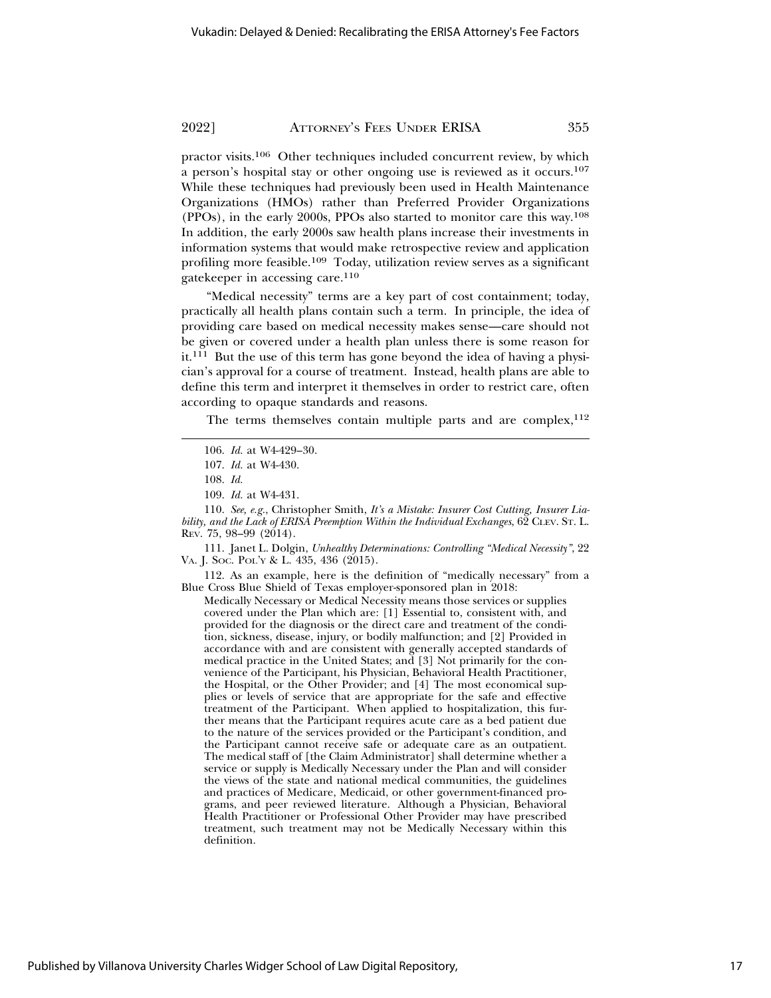practor visits.106 Other techniques included concurrent review, by which a person's hospital stay or other ongoing use is reviewed as it occurs.107 While these techniques had previously been used in Health Maintenance Organizations (HMOs) rather than Preferred Provider Organizations (PPOs), in the early 2000s, PPOs also started to monitor care this way.108 In addition, the early 2000s saw health plans increase their investments in information systems that would make retrospective review and application profiling more feasible.109 Today, utilization review serves as a significant gatekeeper in accessing care.110

"Medical necessity" terms are a key part of cost containment; today, practically all health plans contain such a term. In principle, the idea of providing care based on medical necessity makes sense—care should not be given or covered under a health plan unless there is some reason for it.111 But the use of this term has gone beyond the idea of having a physician's approval for a course of treatment. Instead, health plans are able to define this term and interpret it themselves in order to restrict care, often according to opaque standards and reasons.

The terms themselves contain multiple parts and are complex,  $112$ 

110. *See, e.g.*, Christopher Smith, *It's a Mistake: Insurer Cost Cutting, Insurer Liability, and the Lack of ERISA Preemption Within the Individual Exchanges*, 62 CLEV. ST. L. REV. 75, 98–99 (2014).

111. Janet L. Dolgin, *Unhealthy Determinations: Controlling "Medical Necessity"*, 22 VA. J. SOC. POL'Y & L. 435, 436 (2015).

112. As an example, here is the definition of "medically necessary" from a Blue Cross Blue Shield of Texas employer-sponsored plan in 2018:

Medically Necessary or Medical Necessity means those services or supplies covered under the Plan which are: [1] Essential to, consistent with, and provided for the diagnosis or the direct care and treatment of the condition, sickness, disease, injury, or bodily malfunction; and [2] Provided in accordance with and are consistent with generally accepted standards of medical practice in the United States; and [3] Not primarily for the convenience of the Participant, his Physician, Behavioral Health Practitioner, the Hospital, or the Other Provider; and [4] The most economical supplies or levels of service that are appropriate for the safe and effective treatment of the Participant. When applied to hospitalization, this further means that the Participant requires acute care as a bed patient due to the nature of the services provided or the Participant's condition, and the Participant cannot receive safe or adequate care as an outpatient. The medical staff of [the Claim Administrator] shall determine whether a service or supply is Medically Necessary under the Plan and will consider the views of the state and national medical communities, the guidelines and practices of Medicare, Medicaid, or other government-financed programs, and peer reviewed literature. Although a Physician, Behavioral Health Practitioner or Professional Other Provider may have prescribed treatment, such treatment may not be Medically Necessary within this definition.

<sup>106.</sup> *Id.* at W4-429–30.

<sup>107.</sup> *Id.* at W4-430.

<sup>108.</sup> *Id.*

<sup>109.</sup> *Id.* at W4-431.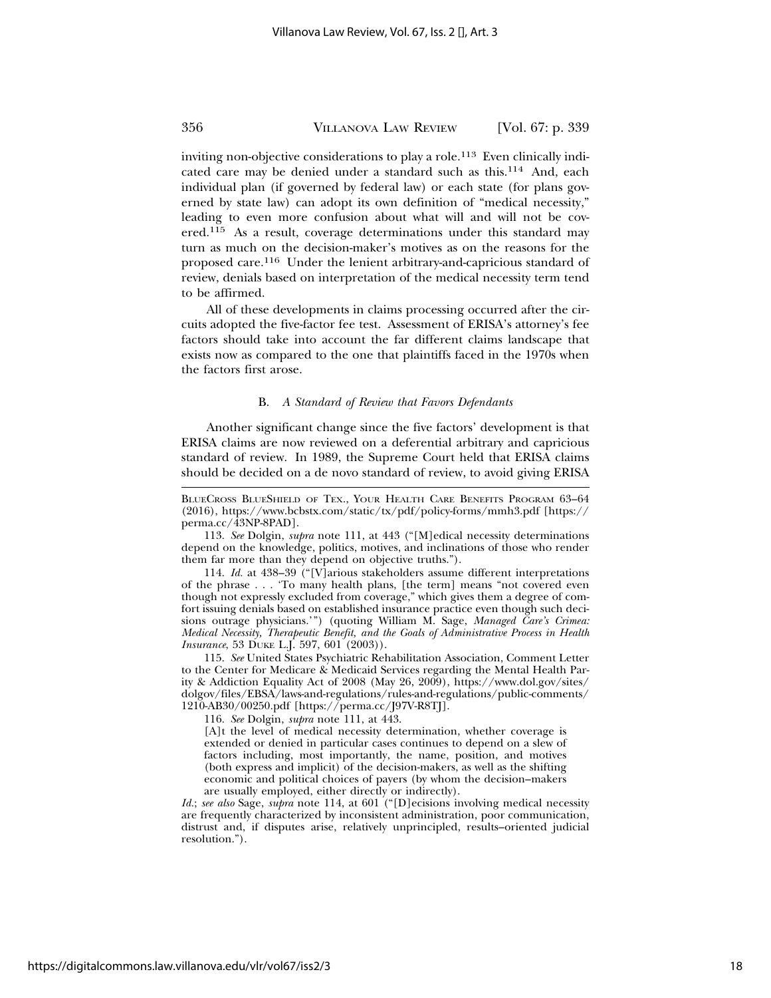inviting non-objective considerations to play a role.<sup>113</sup> Even clinically indicated care may be denied under a standard such as this.114 And, each individual plan (if governed by federal law) or each state (for plans governed by state law) can adopt its own definition of "medical necessity," leading to even more confusion about what will and will not be covered.115 As a result, coverage determinations under this standard may turn as much on the decision-maker's motives as on the reasons for the proposed care.116 Under the lenient arbitrary-and-capricious standard of review, denials based on interpretation of the medical necessity term tend to be affirmed.

All of these developments in claims processing occurred after the circuits adopted the five-factor fee test. Assessment of ERISA's attorney's fee factors should take into account the far different claims landscape that exists now as compared to the one that plaintiffs faced in the 1970s when the factors first arose.

#### B. *A Standard of Review that Favors Defendants*

Another significant change since the five factors' development is that ERISA claims are now reviewed on a deferential arbitrary and capricious standard of review. In 1989, the Supreme Court held that ERISA claims should be decided on a de novo standard of review, to avoid giving ERISA

113. *See* Dolgin, *supra* note 111, at 443 ("[M]edical necessity determinations depend on the knowledge, politics, motives, and inclinations of those who render them far more than they depend on objective truths.").

114. *Id.* at 438–39 ("[V]arious stakeholders assume different interpretations of the phrase . . . 'To many health plans, [the term] means "not covered even though not expressly excluded from coverage," which gives them a degree of comfort issuing denials based on established insurance practice even though such decisions outrage physicians.'") (quoting William M. Sage, *Managed Care's Crimea: Medical Necessity, Therapeutic Benefit, and the Goals of Administrative Process in Health Insurance*, 53 DUKE L.J. 597, 601 (2003)).

115. *See* United States Psychiatric Rehabilitation Association, Comment Letter to the Center for Medicare & Medicaid Services regarding the Mental Health Parity & Addiction Equality Act of 2008 (May 26, 2009), https://www.dol.gov/sites/ dolgov/files/EBSA/laws-and-regulations/rules-and-regulations/public-comments/ 1210-AB30/00250.pdf [https://perma.cc/J97V-R8TJ].

116. *See* Dolgin, *supra* note 111, at 443.

[A]t the level of medical necessity determination, whether coverage is extended or denied in particular cases continues to depend on a slew of factors including, most importantly, the name, position, and motives (both express and implicit) of the decision-makers, as well as the shifting economic and political choices of payers (by whom the decision–makers are usually employed, either directly or indirectly).

*Id.*; *see also* Sage, *supra* note 114, at 601 ("[D]ecisions involving medical necessity are frequently characterized by inconsistent administration, poor communication, distrust and, if disputes arise, relatively unprincipled, results–oriented judicial resolution.").

BLUECROSS BLUESHIELD OF TEX., YOUR HEALTH CARE BENEFITS PROGRAM 63–64 (2016), https://www.bcbstx.com/static/tx/pdf/policy-forms/mmh3.pdf [https:// perma.cc/43NP-8PAD].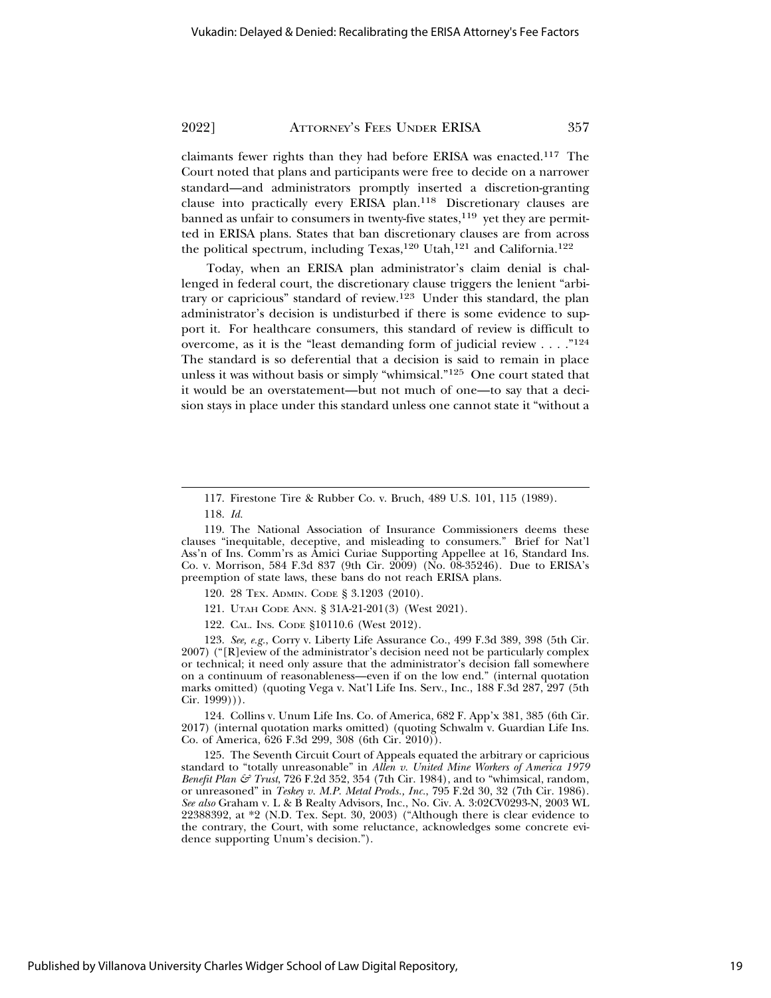claimants fewer rights than they had before ERISA was enacted.117 The Court noted that plans and participants were free to decide on a narrower standard—and administrators promptly inserted a discretion-granting clause into practically every ERISA plan.118 Discretionary clauses are banned as unfair to consumers in twenty-five states, $119$  yet they are permitted in ERISA plans. States that ban discretionary clauses are from across the political spectrum, including Texas,<sup>120</sup> Utah,<sup>121</sup> and California.<sup>122</sup>

Today, when an ERISA plan administrator's claim denial is challenged in federal court, the discretionary clause triggers the lenient "arbitrary or capricious" standard of review.123 Under this standard, the plan administrator's decision is undisturbed if there is some evidence to support it. For healthcare consumers, this standard of review is difficult to overcome, as it is the "least demanding form of judicial review . . . . "<sup>124</sup> The standard is so deferential that a decision is said to remain in place unless it was without basis or simply "whimsical."125 One court stated that it would be an overstatement—but not much of one—to say that a decision stays in place under this standard unless one cannot state it "without a

121. UTAH CODE ANN. § 31A-21-201(3) (West 2021).

122. CAL. INS. CODE §10110.6 (West 2012).

123. *See, e.g.*, Corry v. Liberty Life Assurance Co., 499 F.3d 389, 398 (5th Cir. 2007) ("[R]eview of the administrator's decision need not be particularly complex or technical; it need only assure that the administrator's decision fall somewhere on a continuum of reasonableness—even if on the low end." (internal quotation marks omitted) (quoting Vega v. Nat'l Life Ins. Serv., Inc., 188 F.3d 287, 297 (5th Cir. 1999))).

124. Collins v. Unum Life Ins. Co. of America, 682 F. App'x 381, 385 (6th Cir. 2017) (internal quotation marks omitted) (quoting Schwalm v. Guardian Life Ins. Co. of America, 626 F.3d 299, 308 (6th Cir. 2010)).

125. The Seventh Circuit Court of Appeals equated the arbitrary or capricious standard to "totally unreasonable" in *Allen v. United Mine Workers of America 1979 Benefit Plan & Trust*, 726 F.2d 352, 354 (7th Cir. 1984), and to "whimsical, random, or unreasoned" in *Teskey v. M.P. Metal Prods., Inc.*, 795 F.2d 30, 32 (7th Cir. 1986). *See also* Graham v. L & B Realty Advisors, Inc., No. Civ. A. 3:02CV0293-N, 2003 WL 22388392, at \*2 (N.D. Tex. Sept. 30, 2003) ("Although there is clear evidence to the contrary, the Court, with some reluctance, acknowledges some concrete evidence supporting Unum's decision.").

<sup>117.</sup> Firestone Tire & Rubber Co. v. Bruch, 489 U.S. 101, 115 (1989).

<sup>118.</sup> *Id.*

<sup>119.</sup> The National Association of Insurance Commissioners deems these clauses "inequitable, deceptive, and misleading to consumers." Brief for Nat'l Ass'n of Ins. Comm'rs as Amici Curiae Supporting Appellee at 16, Standard Ins. Co. v. Morrison, 584 F.3d 837 (9th Cir. 2009) (No. 08-35246). Due to ERISA's preemption of state laws, these bans do not reach ERISA plans.

<sup>120. 28</sup> TEX. ADMIN. CODE § 3.1203 (2010).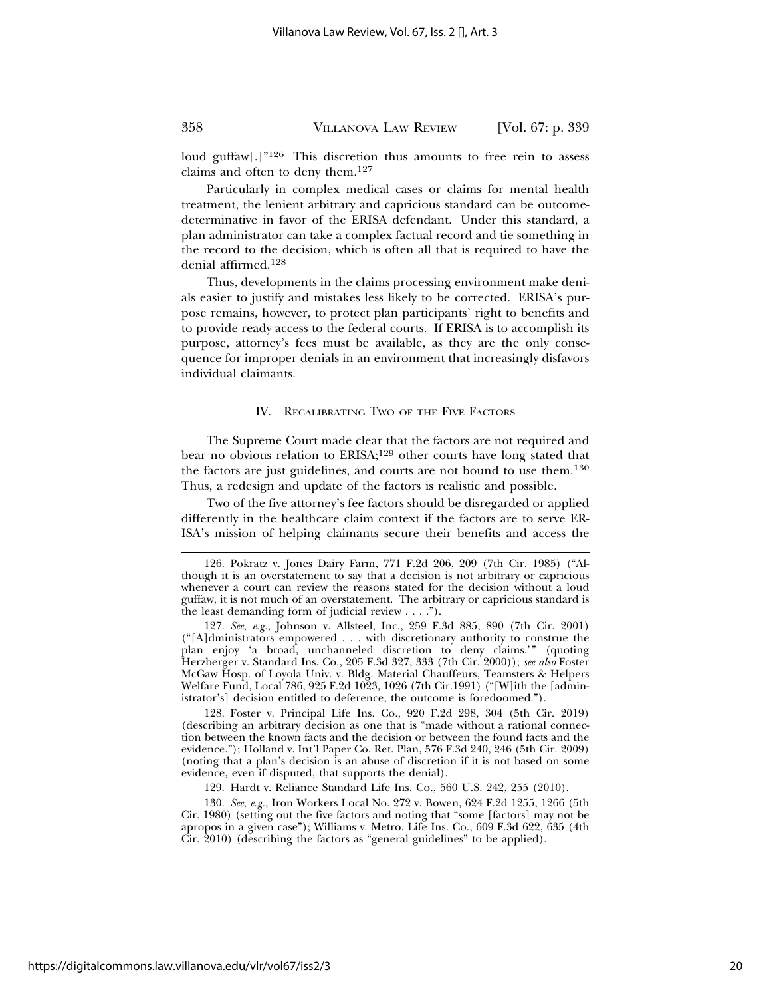loud guffaw<sup>[1],</sup><sup>126</sup> This discretion thus amounts to free rein to assess claims and often to deny them.<sup>127</sup>

Particularly in complex medical cases or claims for mental health treatment, the lenient arbitrary and capricious standard can be outcomedeterminative in favor of the ERISA defendant. Under this standard, a plan administrator can take a complex factual record and tie something in the record to the decision, which is often all that is required to have the denial affirmed.128

Thus, developments in the claims processing environment make denials easier to justify and mistakes less likely to be corrected. ERISA's purpose remains, however, to protect plan participants' right to benefits and to provide ready access to the federal courts. If ERISA is to accomplish its purpose, attorney's fees must be available, as they are the only consequence for improper denials in an environment that increasingly disfavors individual claimants.

#### IV. RECALIBRATING TWO OF THE FIVE FACTORS

The Supreme Court made clear that the factors are not required and bear no obvious relation to ERISA;129 other courts have long stated that the factors are just guidelines, and courts are not bound to use them.130 Thus, a redesign and update of the factors is realistic and possible.

Two of the five attorney's fee factors should be disregarded or applied differently in the healthcare claim context if the factors are to serve ER-ISA's mission of helping claimants secure their benefits and access the

128. Foster v. Principal Life Ins. Co., 920 F.2d 298, 304 (5th Cir. 2019) (describing an arbitrary decision as one that is "made without a rational connection between the known facts and the decision or between the found facts and the evidence."); Holland v. Int'l Paper Co. Ret. Plan, 576 F.3d 240, 246 (5th Cir. 2009) (noting that a plan's decision is an abuse of discretion if it is not based on some evidence, even if disputed, that supports the denial).

129. Hardt v. Reliance Standard Life Ins. Co., 560 U.S. 242, 255 (2010).

130. *See, e.g.*, Iron Workers Local No. 272 v. Bowen, 624 F.2d 1255, 1266 (5th Cir. 1980) (setting out the five factors and noting that "some [factors] may not be apropos in a given case"); Williams v. Metro. Life Ins. Co., 609 F.3d 622, 635 (4th Cir. 2010) (describing the factors as "general guidelines" to be applied).

<sup>126.</sup> Pokratz v. Jones Dairy Farm, 771 F.2d 206, 209 (7th Cir. 1985) ("Although it is an overstatement to say that a decision is not arbitrary or capricious whenever a court can review the reasons stated for the decision without a loud guffaw, it is not much of an overstatement. The arbitrary or capricious standard is the least demanding form of judicial review  $\dots$ .").

<sup>127.</sup> *See, e.g.*, Johnson v. Allsteel, Inc., 259 F.3d 885, 890 (7th Cir. 2001) ("[A]dministrators empowered . . . with discretionary authority to construe the plan enjoy 'a broad, unchanneled discretion to deny claims.'" (quoting Herzberger v. Standard Ins. Co., 205 F.3d 327, 333 (7th Cir. 2000)); *see also* Foster McGaw Hosp. of Loyola Univ. v. Bldg. Material Chauffeurs, Teamsters & Helpers Welfare Fund, Local 786, 925 F.2d 1023, 1026 (7th Cir.1991) ("[W]ith the [administrator's] decision entitled to deference, the outcome is foredoomed.").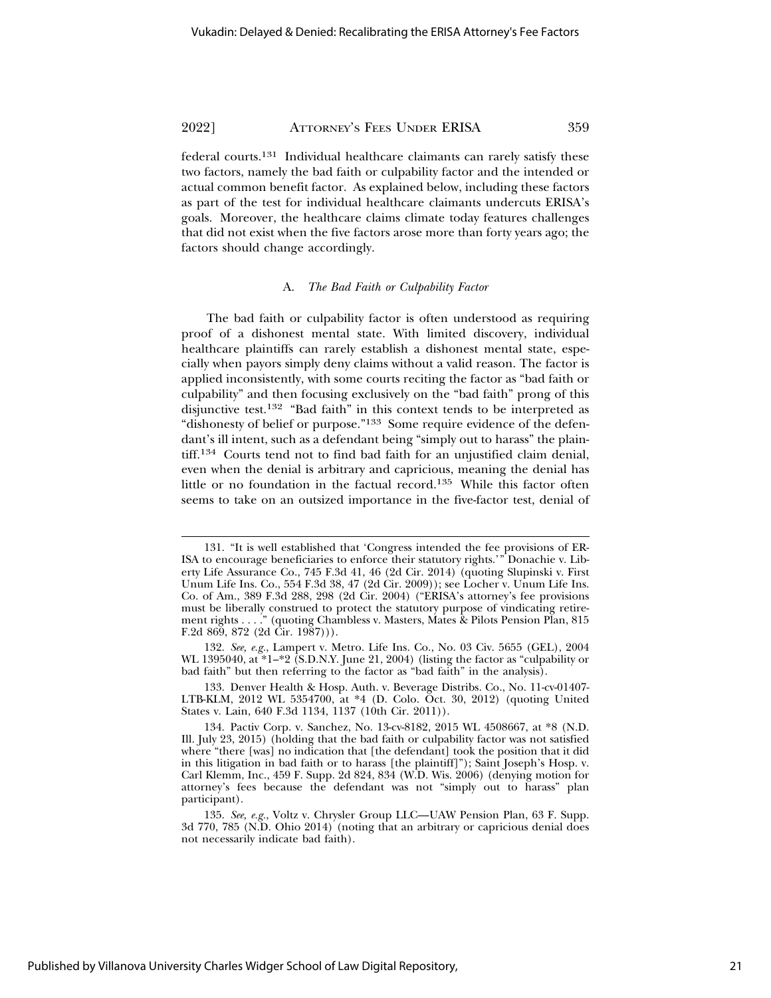federal courts.131 Individual healthcare claimants can rarely satisfy these two factors, namely the bad faith or culpability factor and the intended or actual common benefit factor. As explained below, including these factors as part of the test for individual healthcare claimants undercuts ERISA's goals. Moreover, the healthcare claims climate today features challenges that did not exist when the five factors arose more than forty years ago; the factors should change accordingly.

#### A. *The Bad Faith or Culpability Factor*

The bad faith or culpability factor is often understood as requiring proof of a dishonest mental state. With limited discovery, individual healthcare plaintiffs can rarely establish a dishonest mental state, especially when payors simply deny claims without a valid reason. The factor is applied inconsistently, with some courts reciting the factor as "bad faith or culpability" and then focusing exclusively on the "bad faith" prong of this disjunctive test.132 "Bad faith" in this context tends to be interpreted as "dishonesty of belief or purpose."<sup>133</sup> Some require evidence of the defendant's ill intent, such as a defendant being "simply out to harass" the plaintiff.134 Courts tend not to find bad faith for an unjustified claim denial, even when the denial is arbitrary and capricious, meaning the denial has little or no foundation in the factual record.135 While this factor often seems to take on an outsized importance in the five-factor test, denial of

133. Denver Health & Hosp. Auth. v. Beverage Distribs. Co., No. 11-cv-01407- LTB-KLM, 2012 WL 5354700, at \*4 (D. Colo. Oct. 30, 2012) (quoting United States v. Lain, 640 F.3d 1134, 1137 (10th Cir. 2011)).

<sup>131. &</sup>quot;It is well established that 'Congress intended the fee provisions of ER-ISA to encourage beneficiaries to enforce their statutory rights.'" Donachie v. Liberty Life Assurance Co., 745 F.3d 41, 46 (2d Cir. 2014) (quoting Slupinski v. First Unum Life Ins. Co., 554 F.3d 38, 47 (2d Cir. 2009)); see Locher v. Unum Life Ins. Co. of Am., 389 F.3d 288, 298 (2d Cir. 2004) ("ERISA's attorney's fee provisions must be liberally construed to protect the statutory purpose of vindicating retirement rights . . . ." (quoting Chambless v. Masters, Mates & Pilots Pension Plan, 815 F.2d  $869, 872$  (2d  $\text{Cir. } 1987$ ))).

<sup>132.</sup> *See, e.g.*, Lampert v. Metro. Life Ins. Co., No. 03 Civ. 5655 (GEL), 2004 WL 1395040, at \*1–\*2 (S.D.N.Y. June 21, 2004) (listing the factor as "culpability or bad faith" but then referring to the factor as "bad faith" in the analysis).

<sup>134.</sup> Pactiv Corp. v. Sanchez, No. 13-cv-8182, 2015 WL 4508667, at \*8 (N.D. Ill. July 23, 2015) (holding that the bad faith or culpability factor was not satisfied where "there [was] no indication that [the defendant] took the position that it did in this litigation in bad faith or to harass [the plaintiff]"); Saint Joseph's Hosp. v. Carl Klemm, Inc., 459 F. Supp. 2d 824, 834 (W.D. Wis. 2006) (denying motion for attorney's fees because the defendant was not "simply out to harass" plan participant).

<sup>135.</sup> *See, e.g.*, Voltz v. Chrysler Group LLC—UAW Pension Plan, 63 F. Supp. 3d 770, 785 (N.D. Ohio 2014) (noting that an arbitrary or capricious denial does not necessarily indicate bad faith).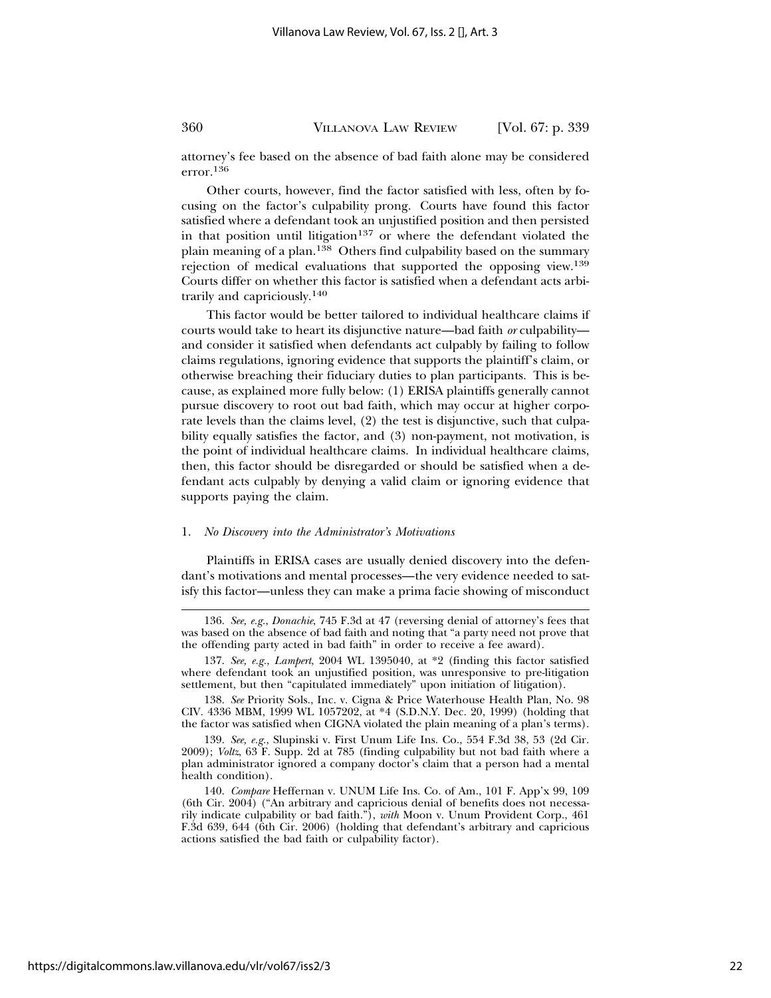attorney's fee based on the absence of bad faith alone may be considered error.136

Other courts, however, find the factor satisfied with less, often by focusing on the factor's culpability prong. Courts have found this factor satisfied where a defendant took an unjustified position and then persisted in that position until litigation<sup>137</sup> or where the defendant violated the plain meaning of a plan.138 Others find culpability based on the summary rejection of medical evaluations that supported the opposing view.139 Courts differ on whether this factor is satisfied when a defendant acts arbitrarily and capriciously.140

This factor would be better tailored to individual healthcare claims if courts would take to heart its disjunctive nature—bad faith *or* culpability and consider it satisfied when defendants act culpably by failing to follow claims regulations, ignoring evidence that supports the plaintiff's claim, or otherwise breaching their fiduciary duties to plan participants. This is because, as explained more fully below: (1) ERISA plaintiffs generally cannot pursue discovery to root out bad faith, which may occur at higher corporate levels than the claims level, (2) the test is disjunctive, such that culpability equally satisfies the factor, and (3) non-payment, not motivation, is the point of individual healthcare claims. In individual healthcare claims, then, this factor should be disregarded or should be satisfied when a defendant acts culpably by denying a valid claim or ignoring evidence that supports paying the claim.

#### 1. *No Discovery into the Administrator's Motivations*

Plaintiffs in ERISA cases are usually denied discovery into the defendant's motivations and mental processes—the very evidence needed to satisfy this factor—unless they can make a prima facie showing of misconduct

<sup>136.</sup> *See, e.g.*, *Donachie*, 745 F.3d at 47 (reversing denial of attorney's fees that was based on the absence of bad faith and noting that "a party need not prove that the offending party acted in bad faith" in order to receive a fee award).

<sup>137.</sup> *See, e.g.*, *Lampert*, 2004 WL 1395040, at \*2 (finding this factor satisfied where defendant took an unjustified position, was unresponsive to pre-litigation settlement, but then "capitulated immediately" upon initiation of litigation).

<sup>138.</sup> *See* Priority Sols., Inc. v. Cigna & Price Waterhouse Health Plan, No. 98 CIV. 4336 MBM, 1999 WL 1057202, at \*4 (S.D.N.Y. Dec. 20, 1999) (holding that the factor was satisfied when CIGNA violated the plain meaning of a plan's terms).

<sup>139.</sup> *See, e.g.*, Slupinski v. First Unum Life Ins. Co., 554 F.3d 38, 53 (2d Cir. 2009); *Voltz*, 63 F. Supp. 2d at 785 (finding culpability but not bad faith where a plan administrator ignored a company doctor's claim that a person had a mental health condition).

<sup>140.</sup> *Compare* Heffernan v. UNUM Life Ins. Co. of Am., 101 F. App'x 99, 109 (6th Cir. 2004) ("An arbitrary and capricious denial of benefits does not necessarily indicate culpability or bad faith."), *with* Moon v. Unum Provident Corp., 461 F.3d 639, 644 (6th Cir. 2006) (holding that defendant's arbitrary and capricious actions satisfied the bad faith or culpability factor).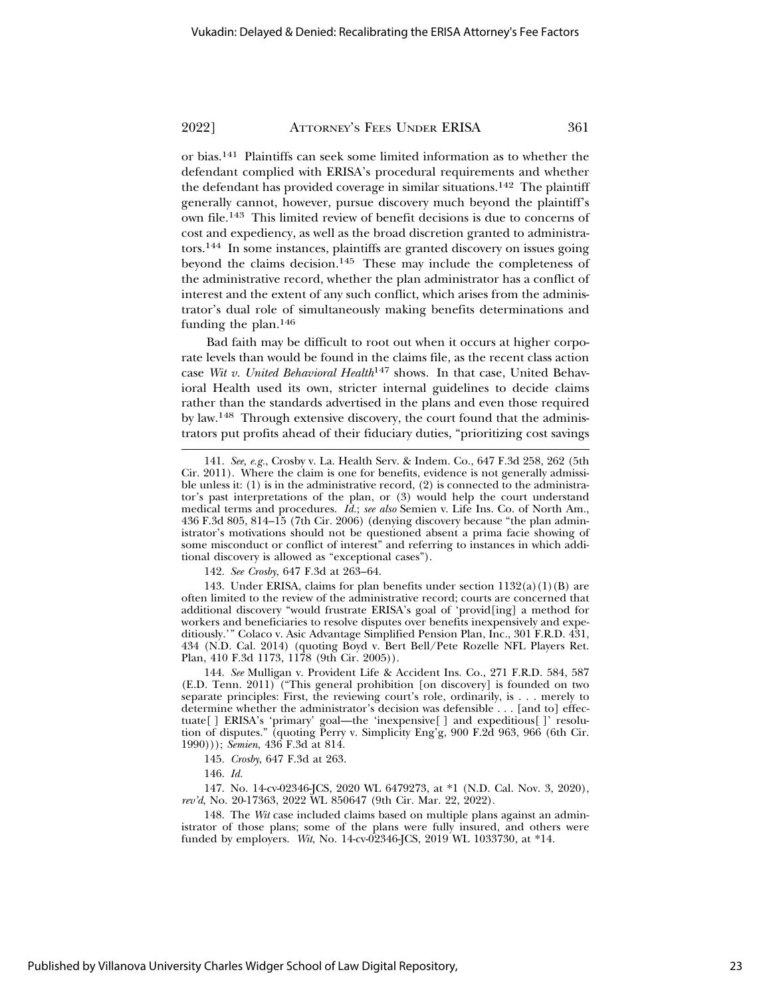or bias.141 Plaintiffs can seek some limited information as to whether the defendant complied with ERISA's procedural requirements and whether the defendant has provided coverage in similar situations.<sup>142</sup> The plaintiff generally cannot, however, pursue discovery much beyond the plaintiff's own file.143 This limited review of benefit decisions is due to concerns of cost and expediency, as well as the broad discretion granted to administrators.144 In some instances, plaintiffs are granted discovery on issues going beyond the claims decision.145 These may include the completeness of the administrative record, whether the plan administrator has a conflict of interest and the extent of any such conflict, which arises from the administrator's dual role of simultaneously making benefits determinations and funding the plan.146

Bad faith may be difficult to root out when it occurs at higher corporate levels than would be found in the claims file, as the recent class action case *Wit v. United Behavioral Health*147 shows. In that case, United Behavioral Health used its own, stricter internal guidelines to decide claims rather than the standards advertised in the plans and even those required by law.148 Through extensive discovery, the court found that the administrators put profits ahead of their fiduciary duties, "prioritizing cost savings

142. *See Crosby*, 647 F.3d at 263–64.

143. Under ERISA, claims for plan benefits under section  $1132(a)(1)(B)$  are often limited to the review of the administrative record; courts are concerned that additional discovery "would frustrate ERISA's goal of 'provid[ing] a method for workers and beneficiaries to resolve disputes over benefits inexpensively and expeditiously.'" Colaco v. Asic Advantage Simplified Pension Plan, Inc., 301 F.R.D. 431, 434 (N.D. Cal. 2014) (quoting Boyd v. Bert Bell/Pete Rozelle NFL Players Ret. Plan, 410 F.3d 1173, 1178 (9th Cir. 2005)).

144. *See* Mulligan v. Provident Life & Accident Ins. Co., 271 F.R.D. 584, 587 (E.D. Tenn. 2011) ("This general prohibition [on discovery] is founded on two separate principles: First, the reviewing court's role, ordinarily, is . . . merely to determine whether the administrator's decision was defensible . . . [and to] effectuate[ ] ERISA's 'primary' goal—the 'inexpensive[ ] and expeditious[ ]' resolution of disputes." (quoting Perry v. Simplicity Eng'g, 900 F.2d 963, 966 (6th Cir. 1990))); *Semien*, 436 F.3d at 814.

147. No. 14-cv-02346-JCS, 2020 WL 6479273, at \*1 (N.D. Cal. Nov. 3, 2020), *rev'd*, No. 20-17363, 2022 WL 850647 (9th Cir. Mar. 22, 2022).

148. The *Wit* case included claims based on multiple plans against an administrator of those plans; some of the plans were fully insured, and others were funded by employers. *Wit*, No. 14-cv-02346-JCS, 2019 WL 1033730, at \*14.

<sup>141.</sup> *See, e.g.*, Crosby v. La. Health Serv. & Indem. Co., 647 F.3d 258, 262 (5th Cir. 2011). Where the claim is one for benefits, evidence is not generally admissible unless it: (1) is in the administrative record, (2) is connected to the administrator's past interpretations of the plan, or (3) would help the court understand medical terms and procedures. *Id.*; *see also* Semien v. Life Ins. Co. of North Am., 436 F.3d 805, 814–15 (7th Cir. 2006) (denying discovery because "the plan administrator's motivations should not be questioned absent a prima facie showing of some misconduct or conflict of interest" and referring to instances in which additional discovery is allowed as "exceptional cases").

<sup>145.</sup> *Crosby*, 647 F.3d at 263.

<sup>146.</sup> *Id.*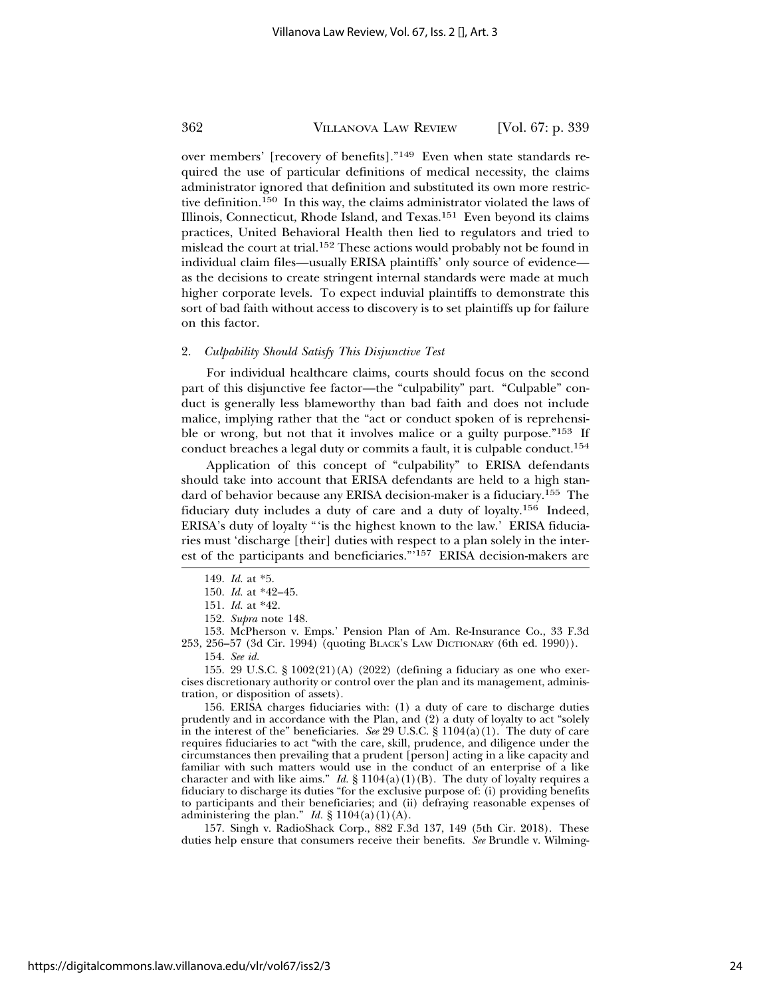over members' [recovery of benefits]."149 Even when state standards required the use of particular definitions of medical necessity, the claims administrator ignored that definition and substituted its own more restrictive definition.150 In this way, the claims administrator violated the laws of Illinois, Connecticut, Rhode Island, and Texas.151 Even beyond its claims practices, United Behavioral Health then lied to regulators and tried to mislead the court at trial.152 These actions would probably not be found in individual claim files—usually ERISA plaintiffs' only source of evidence as the decisions to create stringent internal standards were made at much higher corporate levels. To expect induvial plaintiffs to demonstrate this sort of bad faith without access to discovery is to set plaintiffs up for failure on this factor.

# 2. *Culpability Should Satisfy This Disjunctive Test*

For individual healthcare claims, courts should focus on the second part of this disjunctive fee factor—the "culpability" part. "Culpable" conduct is generally less blameworthy than bad faith and does not include malice, implying rather that the "act or conduct spoken of is reprehensible or wrong, but not that it involves malice or a guilty purpose."153 If conduct breaches a legal duty or commits a fault, it is culpable conduct.154

Application of this concept of "culpability" to ERISA defendants should take into account that ERISA defendants are held to a high standard of behavior because any ERISA decision-maker is a fiduciary.155 The fiduciary duty includes a duty of care and a duty of loyalty.156 Indeed, ERISA's duty of loyalty "'is the highest known to the law.' ERISA fiduciaries must 'discharge [their] duties with respect to a plan solely in the interest of the participants and beneficiaries."'157 ERISA decision-makers are

153. McPherson v. Emps.' Pension Plan of Am. Re-Insurance Co., 33 F.3d 253, 256–57 (3d Cir. 1994) (quoting BLACK'S LAW DICTIONARY (6th ed. 1990)).

155. 29 U.S.C. § 1002(21)(A) (2022) (defining a fiduciary as one who exercises discretionary authority or control over the plan and its management, administration, or disposition of assets).

156. ERISA charges fiduciaries with: (1) a duty of care to discharge duties prudently and in accordance with the Plan, and (2) a duty of loyalty to act "solely in the interest of the" beneficiaries. *See* 29 U.S.C. § 1104(a)(1). The duty of care requires fiduciaries to act "with the care, skill, prudence, and diligence under the circumstances then prevailing that a prudent [person] acting in a like capacity and familiar with such matters would use in the conduct of an enterprise of a like character and with like aims." *Id.* §  $1104(a)(1)(B)$ . The duty of loyalty requires a fiduciary to discharge its duties "for the exclusive purpose of: (i) providing benefits to participants and their beneficiaries; and (ii) defraying reasonable expenses of administering the plan." *Id.*  $\S 1104(a)(1)(A)$ .

157. Singh v. RadioShack Corp., 882 F.3d 137, 149 (5th Cir. 2018). These duties help ensure that consumers receive their benefits. *See* Brundle v. Wilming-

<sup>149.</sup> *Id.* at \*5.

<sup>150.</sup> *Id.* at \*42–45.

<sup>151.</sup> *Id.* at \*42.

<sup>152.</sup> *Supra* note 148.

<sup>154.</sup> *See id.*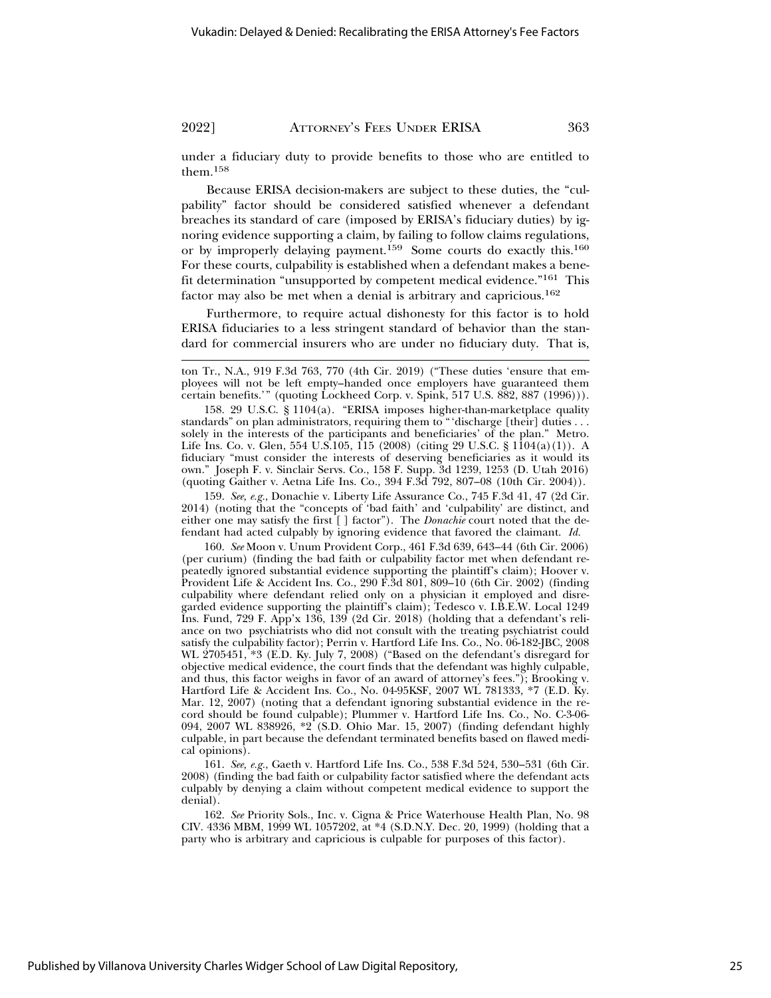under a fiduciary duty to provide benefits to those who are entitled to them.158

Because ERISA decision-makers are subject to these duties, the "culpability" factor should be considered satisfied whenever a defendant breaches its standard of care (imposed by ERISA's fiduciary duties) by ignoring evidence supporting a claim, by failing to follow claims regulations, or by improperly delaying payment.<sup>159</sup> Some courts do exactly this.<sup>160</sup> For these courts, culpability is established when a defendant makes a benefit determination "unsupported by competent medical evidence."161 This factor may also be met when a denial is arbitrary and capricious.<sup>162</sup>

Furthermore, to require actual dishonesty for this factor is to hold ERISA fiduciaries to a less stringent standard of behavior than the standard for commercial insurers who are under no fiduciary duty. That is,

159. *See, e.g.*, Donachie v. Liberty Life Assurance Co., 745 F.3d 41, 47 (2d Cir. 2014) (noting that the "concepts of 'bad faith' and 'culpability' are distinct, and either one may satisfy the first [ ] factor"). The *Donachie* court noted that the defendant had acted culpably by ignoring evidence that favored the claimant. *Id.*

160. *See* Moon v. Unum Provident Corp., 461 F.3d 639, 643–44 (6th Cir. 2006) (per curium) (finding the bad faith or culpability factor met when defendant repeatedly ignored substantial evidence supporting the plaintiff's claim); Hoover v. Provident Life & Accident Ins. Co., 290  $\vec{F}$ .3d 801, 809–10 (6th Cir. 2002) (finding culpability where defendant relied only on a physician it employed and disregarded evidence supporting the plaintiff's claim); Tedesco v. I.B.E.W. Local 1249 Ins. Fund, 729 F. App'x 136, 139 (2d Cir. 2018) (holding that a defendant's reliance on two psychiatrists who did not consult with the treating psychiatrist could satisfy the culpability factor); Perrin v. Hartford Life Ins. Co., No. 06-182-JBC, 2008 WL 2705451, \*3 (E.D. Ky. July 7, 2008) ("Based on the defendant's disregard for objective medical evidence, the court finds that the defendant was highly culpable, and thus, this factor weighs in favor of an award of attorney's fees."); Brooking v. Hartford Life & Accident Ins. Co., No. 04-95KSF, 2007 WL 781333, \*7 (E.D. Ky. Mar. 12, 2007) (noting that a defendant ignoring substantial evidence in the record should be found culpable); Plummer v. Hartford Life Ins. Co., No. C-3-06- 094, 2007 WL 838926, \*2 (S.D. Ohio Mar. 15, 2007) (finding defendant highly culpable, in part because the defendant terminated benefits based on flawed medical opinions).

161. *See, e.g.*, Gaeth v. Hartford Life Ins. Co., 538 F.3d 524, 530–531 (6th Cir. 2008) (finding the bad faith or culpability factor satisfied where the defendant acts culpably by denying a claim without competent medical evidence to support the denial).

162. *See* Priority Sols., Inc. v. Cigna & Price Waterhouse Health Plan, No. 98 CIV. 4336 MBM, 1999 WL 1057202, at \*4 (S.D.N.Y. Dec. 20, 1999) (holding that a party who is arbitrary and capricious is culpable for purposes of this factor).

ton Tr., N.A., 919 F.3d 763, 770 (4th Cir. 2019) ("These duties 'ensure that employees will not be left empty–handed once employers have guaranteed them certain benefits.'" (quoting Lockheed Corp. v. Spink, 517 U.S. 882, 887 (1996))).

<sup>158. 29</sup> U.S.C. § 1104(a). "ERISA imposes higher-than-marketplace quality standards" on plan administrators, requiring them to "'discharge [their] duties . . . solely in the interests of the participants and beneficiaries' of the plan." Metro. Life Ins. Co. v. Glen, 554 U.S.105,  $\hat{115}$  (2008) (citing 29 U.S.C. § 1 $\hat{104}(a)(1)$ ). A fiduciary "must consider the interests of deserving beneficiaries as it would its own." Joseph F. v. Sinclair Servs. Co., 158 F. Supp. 3d 1239, 1253 (D. Utah 2016) (quoting Gaither v. Aetna Life Ins. Co., 394 F.3d 792, 807–08 (10th Cir. 2004)).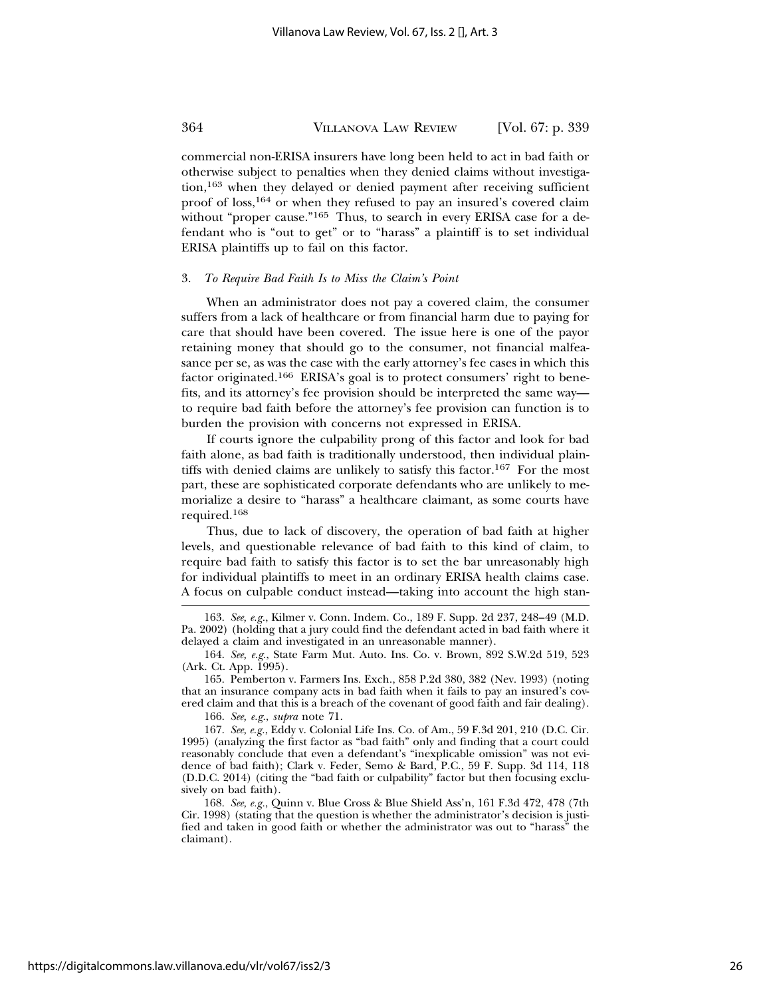commercial non-ERISA insurers have long been held to act in bad faith or otherwise subject to penalties when they denied claims without investigation,163 when they delayed or denied payment after receiving sufficient proof of loss,<sup>164</sup> or when they refused to pay an insured's covered claim without "proper cause."<sup>165</sup> Thus, to search in every ERISA case for a defendant who is "out to get" or to "harass" a plaintiff is to set individual ERISA plaintiffs up to fail on this factor.

#### 3. *To Require Bad Faith Is to Miss the Claim's Point*

When an administrator does not pay a covered claim, the consumer suffers from a lack of healthcare or from financial harm due to paying for care that should have been covered. The issue here is one of the payor retaining money that should go to the consumer, not financial malfeasance per se, as was the case with the early attorney's fee cases in which this factor originated.166 ERISA's goal is to protect consumers' right to benefits, and its attorney's fee provision should be interpreted the same way to require bad faith before the attorney's fee provision can function is to burden the provision with concerns not expressed in ERISA.

If courts ignore the culpability prong of this factor and look for bad faith alone, as bad faith is traditionally understood, then individual plaintiffs with denied claims are unlikely to satisfy this factor.167 For the most part, these are sophisticated corporate defendants who are unlikely to memorialize a desire to "harass" a healthcare claimant, as some courts have required.168

Thus, due to lack of discovery, the operation of bad faith at higher levels, and questionable relevance of bad faith to this kind of claim, to require bad faith to satisfy this factor is to set the bar unreasonably high for individual plaintiffs to meet in an ordinary ERISA health claims case. A focus on culpable conduct instead—taking into account the high stan-

165. Pemberton v. Farmers Ins. Exch., 858 P.2d 380, 382 (Nev. 1993) (noting that an insurance company acts in bad faith when it fails to pay an insured's covered claim and that this is a breach of the covenant of good faith and fair dealing).

166. *See, e.g.*, *supra* note 71.

167. *See, e.g.*, Eddy v. Colonial Life Ins. Co. of Am., 59 F.3d 201, 210 (D.C. Cir. 1995) (analyzing the first factor as "bad faith" only and finding that a court could reasonably conclude that even a defendant's "inexplicable omission" was not evidence of bad faith); Clark v. Feder, Semo & Bard, P.C., 59 F. Supp. 3d 114, 118 (D.D.C. 2014) (citing the "bad faith or culpability" factor but then focusing exclusively on bad faith).

168. *See, e.g.*, Quinn v. Blue Cross & Blue Shield Ass'n, 161 F.3d 472, 478 (7th Cir. 1998) (stating that the question is whether the administrator's decision is justified and taken in good faith or whether the administrator was out to "harass" the claimant).

<sup>163.</sup> *See, e.g.*, Kilmer v. Conn. Indem. Co., 189 F. Supp. 2d 237, 248–49 (M.D. Pa. 2002) (holding that a jury could find the defendant acted in bad faith where it delayed a claim and investigated in an unreasonable manner).

<sup>164.</sup> *See, e.g.*, State Farm Mut. Auto. Ins. Co. v. Brown, 892 S.W.2d 519, 523 (Ark. Ct. App. 1995).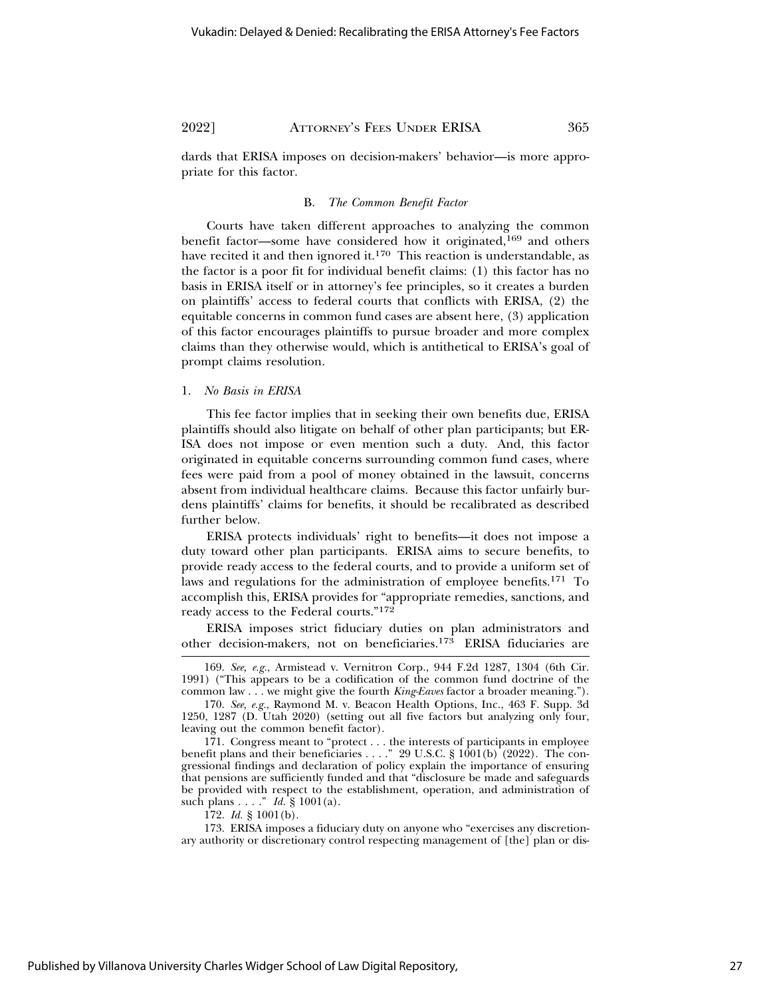dards that ERISA imposes on decision-makers' behavior—is more appropriate for this factor.

#### B. *The Common Benefit Factor*

Courts have taken different approaches to analyzing the common benefit factor—some have considered how it originated,<sup>169</sup> and others have recited it and then ignored it.<sup>170</sup> This reaction is understandable, as the factor is a poor fit for individual benefit claims: (1) this factor has no basis in ERISA itself or in attorney's fee principles, so it creates a burden on plaintiffs' access to federal courts that conflicts with ERISA, (2) the equitable concerns in common fund cases are absent here, (3) application of this factor encourages plaintiffs to pursue broader and more complex claims than they otherwise would, which is antithetical to ERISA's goal of prompt claims resolution.

#### 1. *No Basis in ERISA*

This fee factor implies that in seeking their own benefits due, ERISA plaintiffs should also litigate on behalf of other plan participants; but ER-ISA does not impose or even mention such a duty. And, this factor originated in equitable concerns surrounding common fund cases, where fees were paid from a pool of money obtained in the lawsuit, concerns absent from individual healthcare claims. Because this factor unfairly burdens plaintiffs' claims for benefits, it should be recalibrated as described further below.

ERISA protects individuals' right to benefits—it does not impose a duty toward other plan participants. ERISA aims to secure benefits, to provide ready access to the federal courts, and to provide a uniform set of laws and regulations for the administration of employee benefits.171 To accomplish this, ERISA provides for "appropriate remedies, sanctions, and ready access to the Federal courts."<sup>172</sup>

ERISA imposes strict fiduciary duties on plan administrators and other decision-makers, not on beneficiaries.173 ERISA fiduciaries are

172. *Id.* § 1001(b).

173. ERISA imposes a fiduciary duty on anyone who "exercises any discretionary authority or discretionary control respecting management of [the] plan or dis-

<sup>169.</sup> *See, e.g.*, Armistead v. Vernitron Corp., 944 F.2d 1287, 1304 (6th Cir. 1991) ("This appears to be a codification of the common fund doctrine of the common law . . . we might give the fourth *King-Eaves* factor a broader meaning.").

<sup>170.</sup> *See, e.g.*, Raymond M. v. Beacon Health Options, Inc., 463 F. Supp. 3d 1250, 1287 (D. Utah 2020) (setting out all five factors but analyzing only four, leaving out the common benefit factor).

<sup>171.</sup> Congress meant to "protect . . . the interests of participants in employee benefit plans and their beneficiaries . . . ." 29 U.S.C.  $\S 1001(b)$  (2022). The congressional findings and declaration of policy explain the importance of ensuring that pensions are sufficiently funded and that "disclosure be made and safeguards be provided with respect to the establishment, operation, and administration of such plans . . . ." *Id.* § 1001(a).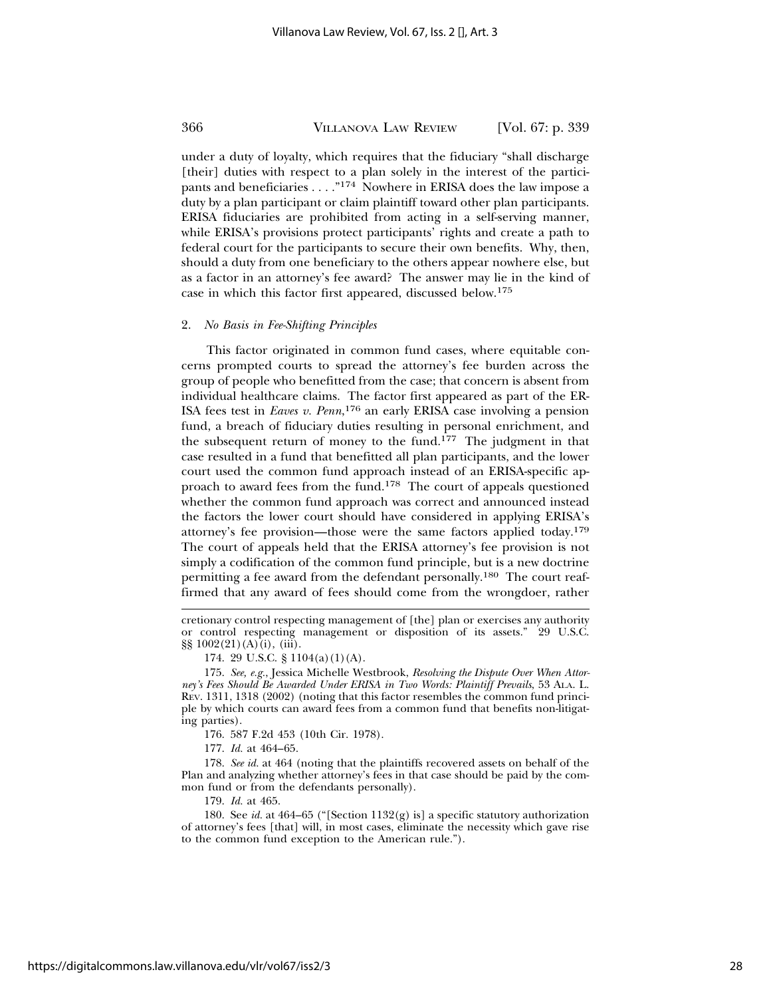under a duty of loyalty, which requires that the fiduciary "shall discharge [their] duties with respect to a plan solely in the interest of the participants and beneficiaries . . . . "174 Nowhere in ERISA does the law impose a duty by a plan participant or claim plaintiff toward other plan participants. ERISA fiduciaries are prohibited from acting in a self-serving manner, while ERISA's provisions protect participants' rights and create a path to federal court for the participants to secure their own benefits. Why, then, should a duty from one beneficiary to the others appear nowhere else, but as a factor in an attorney's fee award? The answer may lie in the kind of case in which this factor first appeared, discussed below.175

#### 2. *No Basis in Fee-Shifting Principles*

This factor originated in common fund cases, where equitable concerns prompted courts to spread the attorney's fee burden across the group of people who benefitted from the case; that concern is absent from individual healthcare claims. The factor first appeared as part of the ER-ISA fees test in *Eaves v. Penn*, 176 an early ERISA case involving a pension fund, a breach of fiduciary duties resulting in personal enrichment, and the subsequent return of money to the fund.177 The judgment in that case resulted in a fund that benefitted all plan participants, and the lower court used the common fund approach instead of an ERISA-specific approach to award fees from the fund.178 The court of appeals questioned whether the common fund approach was correct and announced instead the factors the lower court should have considered in applying ERISA's attorney's fee provision—those were the same factors applied today.<sup>179</sup> The court of appeals held that the ERISA attorney's fee provision is not simply a codification of the common fund principle, but is a new doctrine permitting a fee award from the defendant personally.180 The court reaffirmed that any award of fees should come from the wrongdoer, rather

176. 587 F.2d 453 (10th Cir. 1978).

177. *Id.* at 464–65.

178. *See id.* at 464 (noting that the plaintiffs recovered assets on behalf of the Plan and analyzing whether attorney's fees in that case should be paid by the common fund or from the defendants personally).

179. *Id.* at 465.

180. See *id.* at 464–65 ("[Section 1132(g) is] a specific statutory authorization of attorney's fees [that] will, in most cases, eliminate the necessity which gave rise to the common fund exception to the American rule.").

https://digitalcommons.law.villanova.edu/vlr/vol67/iss2/3

cretionary control respecting management of [the] plan or exercises any authority or control respecting management or disposition of its assets." 29 U.S.C. §§ 1002(21)(A)(i), (iii).

<sup>174. 29</sup> U.S.C. § 1104(a)(1)(A).

<sup>175.</sup> *See, e.g.*, Jessica Michelle Westbrook, *Resolving the Dispute Over When Attorney's Fees Should Be Awarded Under ERISA in Two Words: Plaintiff Prevails*, 53 ALA. L. REV. 1311, 1318 (2002) (noting that this factor resembles the common fund principle by which courts can award fees from a common fund that benefits non-litigating parties).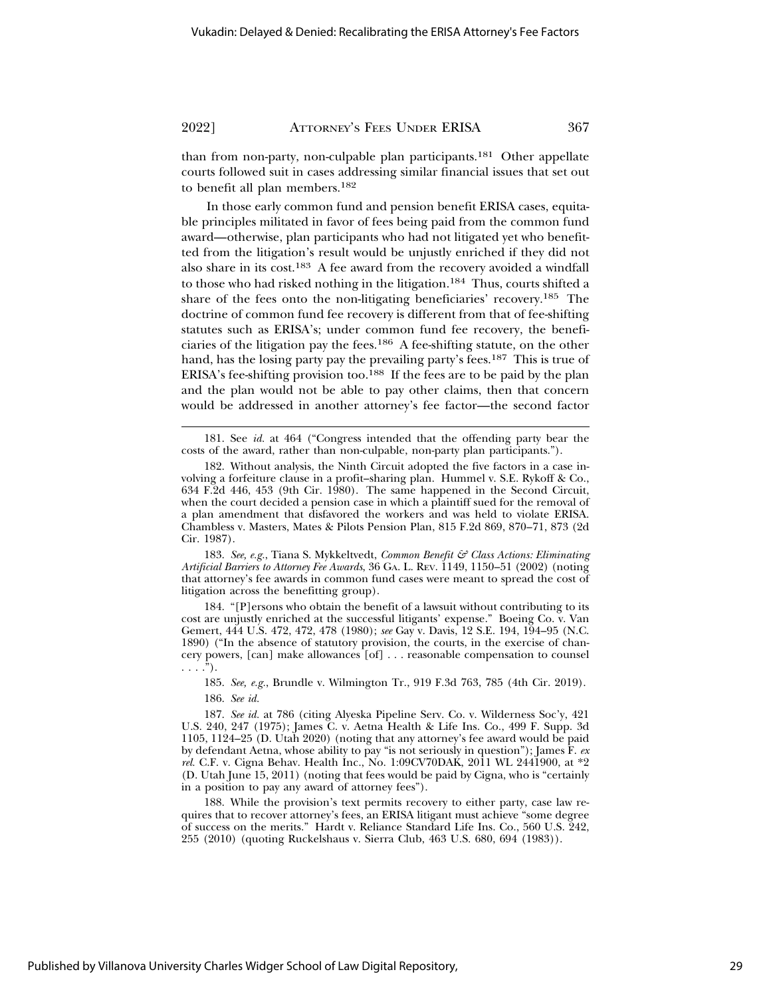than from non-party, non-culpable plan participants.181 Other appellate courts followed suit in cases addressing similar financial issues that set out to benefit all plan members.182

In those early common fund and pension benefit ERISA cases, equitable principles militated in favor of fees being paid from the common fund award—otherwise, plan participants who had not litigated yet who benefitted from the litigation's result would be unjustly enriched if they did not also share in its cost.183 A fee award from the recovery avoided a windfall to those who had risked nothing in the litigation.<sup>184</sup> Thus, courts shifted a share of the fees onto the non-litigating beneficiaries' recovery.185 The doctrine of common fund fee recovery is different from that of fee-shifting statutes such as ERISA's; under common fund fee recovery, the beneficiaries of the litigation pay the fees.186 A fee-shifting statute, on the other hand, has the losing party pay the prevailing party's fees.<sup>187</sup> This is true of ERISA's fee-shifting provision too.188 If the fees are to be paid by the plan and the plan would not be able to pay other claims, then that concern would be addressed in another attorney's fee factor—the second factor

183. *See, e.g.*, Tiana S. Mykkeltvedt, *Common Benefit & Class Actions: Eliminating Artificial Barriers to Attorney Fee Awards*, 36 GA. L. REV. 1149, 1150–51 (2002) (noting that attorney's fee awards in common fund cases were meant to spread the cost of litigation across the benefitting group).

184. "[P]ersons who obtain the benefit of a lawsuit without contributing to its cost are unjustly enriched at the successful litigants' expense." Boeing Co. v. Van Gemert, 444 U.S. 472, 472, 478 (1980); *see* Gay v. Davis, 12 S.E. 194, 194–95 (N.C. 1890) ("In the absence of statutory provision, the courts, in the exercise of chancery powers, [can] make allowances [of] . . . reasonable compensation to counsel  $\ldots$ .").

185. *See, e.g.*, Brundle v. Wilmington Tr., 919 F.3d 763, 785 (4th Cir. 2019). 186. *See id.*

187. *See id.* at 786 (citing Alyeska Pipeline Serv. Co. v. Wilderness Soc'y, 421 U.S. 240, 247 (1975); James C. v. Aetna Health & Life Ins. Co., 499 F. Supp. 3d 1105, 1124–25 (D. Utah 2020) (noting that any attorney's fee award would be paid by defendant Aetna, whose ability to pay "is not seriously in question"); James F. *ex rel.* C.F. v. Cigna Behav. Health Inc., No. 1:09CV70DAK, 2011 WL 2441900, at \*2 (D. Utah June 15, 2011) (noting that fees would be paid by Cigna, who is "certainly in a position to pay any award of attorney fees").

188. While the provision's text permits recovery to either party, case law requires that to recover attorney's fees, an ERISA litigant must achieve "some degree of success on the merits." Hardt v. Reliance Standard Life Ins. Co., 560 U.S. 242, 255 (2010) (quoting Ruckelshaus v. Sierra Club, 463 U.S. 680, 694 (1983)).

<sup>181.</sup> See *id.* at 464 ("Congress intended that the offending party bear the costs of the award, rather than non-culpable, non-party plan participants.").

<sup>182.</sup> Without analysis, the Ninth Circuit adopted the five factors in a case involving a forfeiture clause in a profit–sharing plan. Hummel v. S.E. Rykoff & Co., 634 F.2d 446, 453 (9th Cir. 1980). The same happened in the Second Circuit, when the court decided a pension case in which a plaintiff sued for the removal of a plan amendment that disfavored the workers and was held to violate ERISA. Chambless v. Masters, Mates & Pilots Pension Plan, 815 F.2d 869, 870–71, 873 (2d Cir. 1987).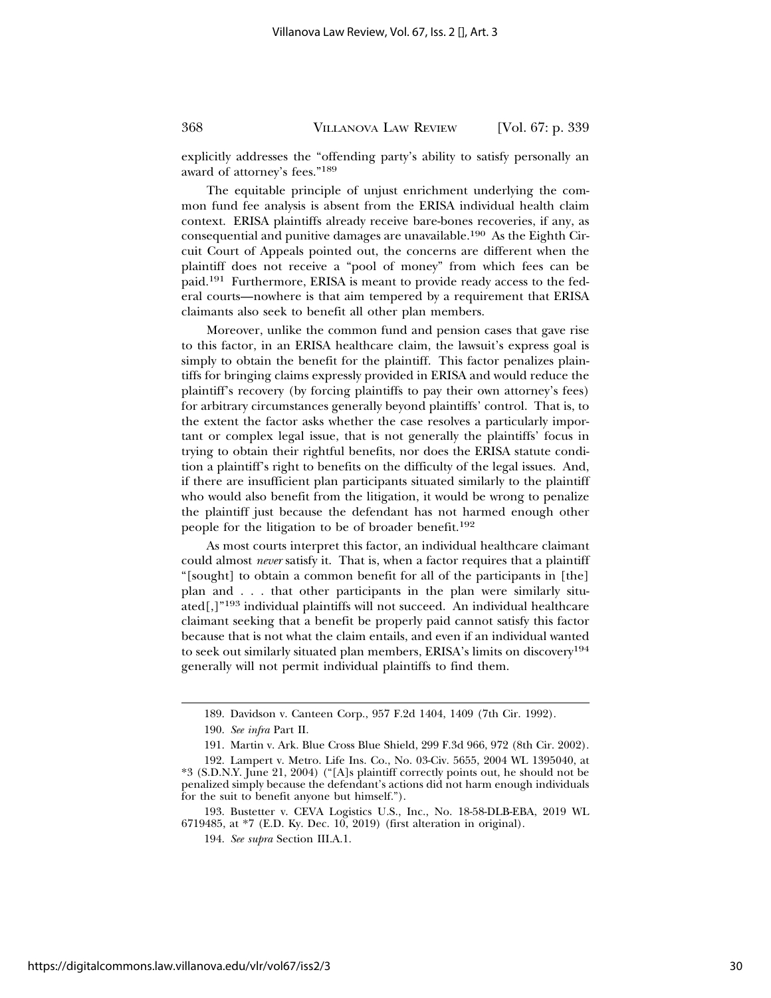explicitly addresses the "offending party's ability to satisfy personally an award of attorney's fees."189

The equitable principle of unjust enrichment underlying the common fund fee analysis is absent from the ERISA individual health claim context. ERISA plaintiffs already receive bare-bones recoveries, if any, as consequential and punitive damages are unavailable.190 As the Eighth Circuit Court of Appeals pointed out, the concerns are different when the plaintiff does not receive a "pool of money" from which fees can be paid.191 Furthermore, ERISA is meant to provide ready access to the federal courts—nowhere is that aim tempered by a requirement that ERISA claimants also seek to benefit all other plan members.

Moreover, unlike the common fund and pension cases that gave rise to this factor, in an ERISA healthcare claim, the lawsuit's express goal is simply to obtain the benefit for the plaintiff. This factor penalizes plaintiffs for bringing claims expressly provided in ERISA and would reduce the plaintiff's recovery (by forcing plaintiffs to pay their own attorney's fees) for arbitrary circumstances generally beyond plaintiffs' control. That is, to the extent the factor asks whether the case resolves a particularly important or complex legal issue, that is not generally the plaintiffs' focus in trying to obtain their rightful benefits, nor does the ERISA statute condition a plaintiff's right to benefits on the difficulty of the legal issues. And, if there are insufficient plan participants situated similarly to the plaintiff who would also benefit from the litigation, it would be wrong to penalize the plaintiff just because the defendant has not harmed enough other people for the litigation to be of broader benefit.192

As most courts interpret this factor, an individual healthcare claimant could almost *never* satisfy it. That is, when a factor requires that a plaintiff "[sought] to obtain a common benefit for all of the participants in [the] plan and . . . that other participants in the plan were similarly situated[,]"193 individual plaintiffs will not succeed. An individual healthcare claimant seeking that a benefit be properly paid cannot satisfy this factor because that is not what the claim entails, and even if an individual wanted to seek out similarly situated plan members, ERISA's limits on discovery194 generally will not permit individual plaintiffs to find them.

<sup>189.</sup> Davidson v. Canteen Corp., 957 F.2d 1404, 1409 (7th Cir. 1992).

<sup>190.</sup> *See infra* Part II.

<sup>191.</sup> Martin v. Ark. Blue Cross Blue Shield, 299 F.3d 966, 972 (8th Cir. 2002).

<sup>192.</sup> Lampert v. Metro. Life Ins. Co., No. 03-Civ. 5655, 2004 WL 1395040, at \*3 (S.D.N.Y. June 21, 2004) ("[A]s plaintiff correctly points out, he should not be penalized simply because the defendant's actions did not harm enough individuals for the suit to benefit anyone but himself.").

<sup>193.</sup> Bustetter v. CEVA Logistics U.S., Inc., No. 18-58-DLB-EBA, 2019 WL 6719485, at \*7 (E.D. Ky. Dec. 10, 2019) (first alteration in original).

<sup>194.</sup> *See supra* Section III.A.1.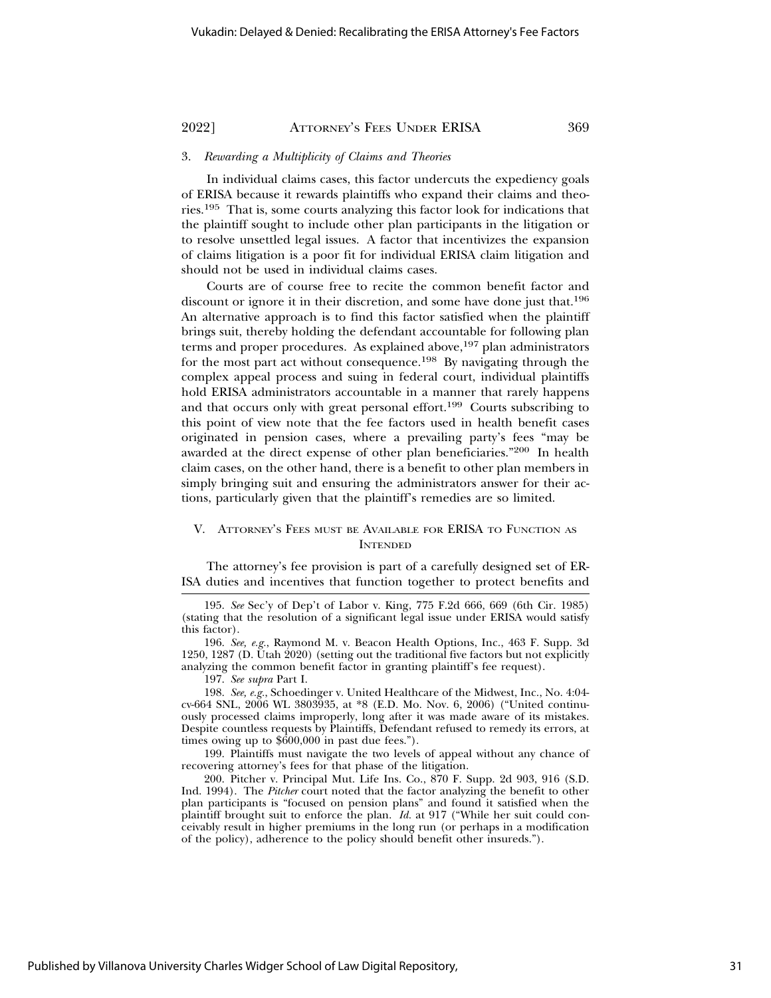#### 3. *Rewarding a Multiplicity of Claims and Theories*

In individual claims cases, this factor undercuts the expediency goals of ERISA because it rewards plaintiffs who expand their claims and theories.195 That is, some courts analyzing this factor look for indications that the plaintiff sought to include other plan participants in the litigation or to resolve unsettled legal issues. A factor that incentivizes the expansion of claims litigation is a poor fit for individual ERISA claim litigation and should not be used in individual claims cases.

Courts are of course free to recite the common benefit factor and discount or ignore it in their discretion, and some have done just that.196 An alternative approach is to find this factor satisfied when the plaintiff brings suit, thereby holding the defendant accountable for following plan terms and proper procedures. As explained above,<sup>197</sup> plan administrators for the most part act without consequence.198 By navigating through the complex appeal process and suing in federal court, individual plaintiffs hold ERISA administrators accountable in a manner that rarely happens and that occurs only with great personal effort.199 Courts subscribing to this point of view note that the fee factors used in health benefit cases originated in pension cases, where a prevailing party's fees "may be awarded at the direct expense of other plan beneficiaries."200 In health claim cases, on the other hand, there is a benefit to other plan members in simply bringing suit and ensuring the administrators answer for their actions, particularly given that the plaintiff's remedies are so limited.

## V. ATTORNEY'S FEES MUST BE AVAILABLE FOR ERISA TO FUNCTION AS **INTENDED**

The attorney's fee provision is part of a carefully designed set of ER-ISA duties and incentives that function together to protect benefits and

197. *See supra* Part I.

198. *See, e.g.*, Schoedinger v. United Healthcare of the Midwest, Inc., No. 4:04 cv-664 SNL, 2006 WL 3803935, at \*8 (E.D. Mo. Nov. 6, 2006) ("United continuously processed claims improperly, long after it was made aware of its mistakes. Despite countless requests by Plaintiffs, Defendant refused to remedy its errors, at times owing up to \$600,000 in past due fees.").

199. Plaintiffs must navigate the two levels of appeal without any chance of recovering attorney's fees for that phase of the litigation.

200. Pitcher v. Principal Mut. Life Ins. Co., 870 F. Supp. 2d 903, 916 (S.D. Ind. 1994). The *Pitcher* court noted that the factor analyzing the benefit to other plan participants is "focused on pension plans" and found it satisfied when the plaintiff brought suit to enforce the plan. *Id.* at 917 ("While her suit could conceivably result in higher premiums in the long run (or perhaps in a modification of the policy), adherence to the policy should benefit other insureds.").

<sup>195.</sup> *See* Sec'y of Dep't of Labor v. King, 775 F.2d 666, 669 (6th Cir. 1985) (stating that the resolution of a significant legal issue under ERISA would satisfy this factor).

<sup>196.</sup> *See, e.g.*, Raymond M. v. Beacon Health Options, Inc., 463 F. Supp. 3d 1250, 1287 (D. Utah 2020) (setting out the traditional five factors but not explicitly analyzing the common benefit factor in granting plaintiff's fee request).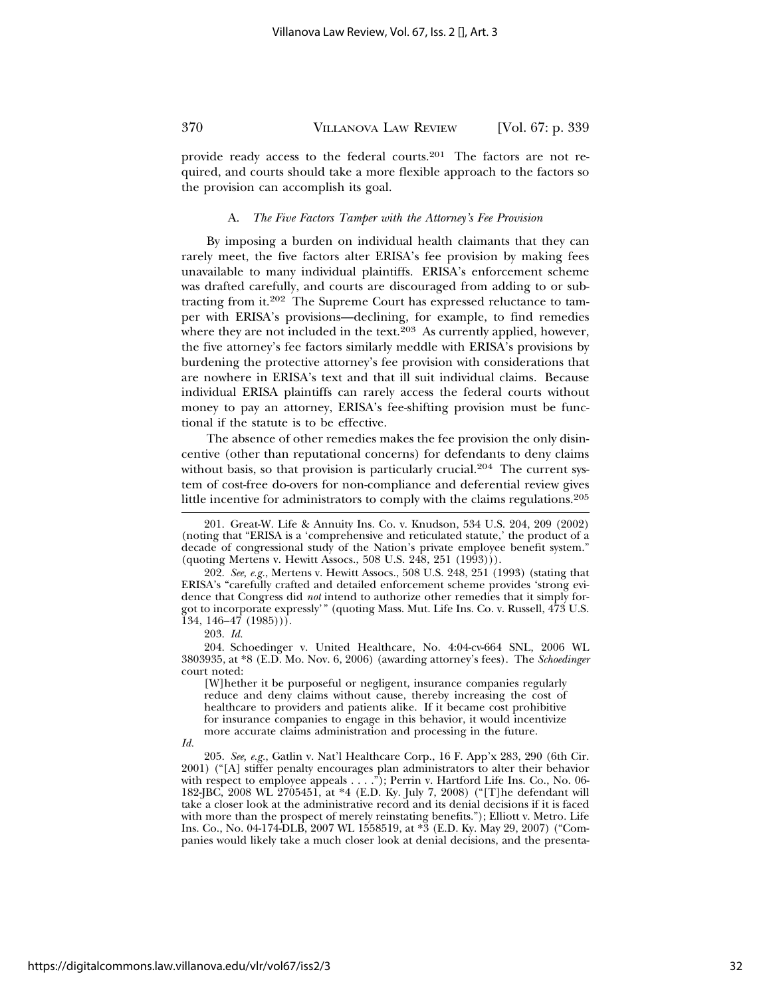provide ready access to the federal courts.201 The factors are not required, and courts should take a more flexible approach to the factors so the provision can accomplish its goal.

#### A. *The Five Factors Tamper with the Attorney's Fee Provision*

By imposing a burden on individual health claimants that they can rarely meet, the five factors alter ERISA's fee provision by making fees unavailable to many individual plaintiffs. ERISA's enforcement scheme was drafted carefully, and courts are discouraged from adding to or subtracting from it.202 The Supreme Court has expressed reluctance to tamper with ERISA's provisions—declining, for example, to find remedies where they are not included in the text. $203$  As currently applied, however, the five attorney's fee factors similarly meddle with ERISA's provisions by burdening the protective attorney's fee provision with considerations that are nowhere in ERISA's text and that ill suit individual claims. Because individual ERISA plaintiffs can rarely access the federal courts without money to pay an attorney, ERISA's fee-shifting provision must be functional if the statute is to be effective.

The absence of other remedies makes the fee provision the only disincentive (other than reputational concerns) for defendants to deny claims without basis, so that provision is particularly crucial.<sup>204</sup> The current system of cost-free do-overs for non-compliance and deferential review gives little incentive for administrators to comply with the claims regulations.205

202. *See, e.g.*, Mertens v. Hewitt Assocs., 508 U.S. 248, 251 (1993) (stating that ERISA's "carefully crafted and detailed enforcement scheme provides 'strong evidence that Congress did *not* intend to authorize other remedies that it simply forgot to incorporate expressly'" (quoting Mass. Mut. Life Ins. Co. v. Russell, 473 U.S.  $134, 146 - 47$   $(1985)$ ).

203. *Id.*

204. Schoedinger v. United Healthcare, No. 4:04-cv-664 SNL, 2006 WL 3803935, at \*8 (E.D. Mo. Nov. 6, 2006) (awarding attorney's fees). The *Schoedinger* court noted:

[W]hether it be purposeful or negligent, insurance companies regularly reduce and deny claims without cause, thereby increasing the cost of healthcare to providers and patients alike. If it became cost prohibitive for insurance companies to engage in this behavior, it would incentivize more accurate claims administration and processing in the future.

*Id.*

205. *See, e.g.*, Gatlin v. Nat'l Healthcare Corp., 16 F. App'x 283, 290 (6th Cir. 2001) ("[A] stiffer penalty encourages plan administrators to alter their behavior with respect to employee appeals . . . ."); Perrin v. Hartford Life Ins. Co., No. 06-182-JBC, 2008 WL 2705451, at \*4 (E.D. Ky. July 7, 2008) ("[T]he defendant will take a closer look at the administrative record and its denial decisions if it is faced with more than the prospect of merely reinstating benefits."); Elliott v. Metro. Life Ins. Co., No. 04-174-DLB, 2007 WL 1558519, at \*3 (E.D. Ky. May 29, 2007) ("Companies would likely take a much closer look at denial decisions, and the presenta-

<sup>201.</sup> Great-W. Life & Annuity Ins. Co. v. Knudson, 534 U.S. 204, 209 (2002) (noting that "ERISA is a 'comprehensive and reticulated statute,' the product of a decade of congressional study of the Nation's private employee benefit system." (quoting Mertens v. Hewitt Assocs., 508 U.S. 248, 251 (1993))).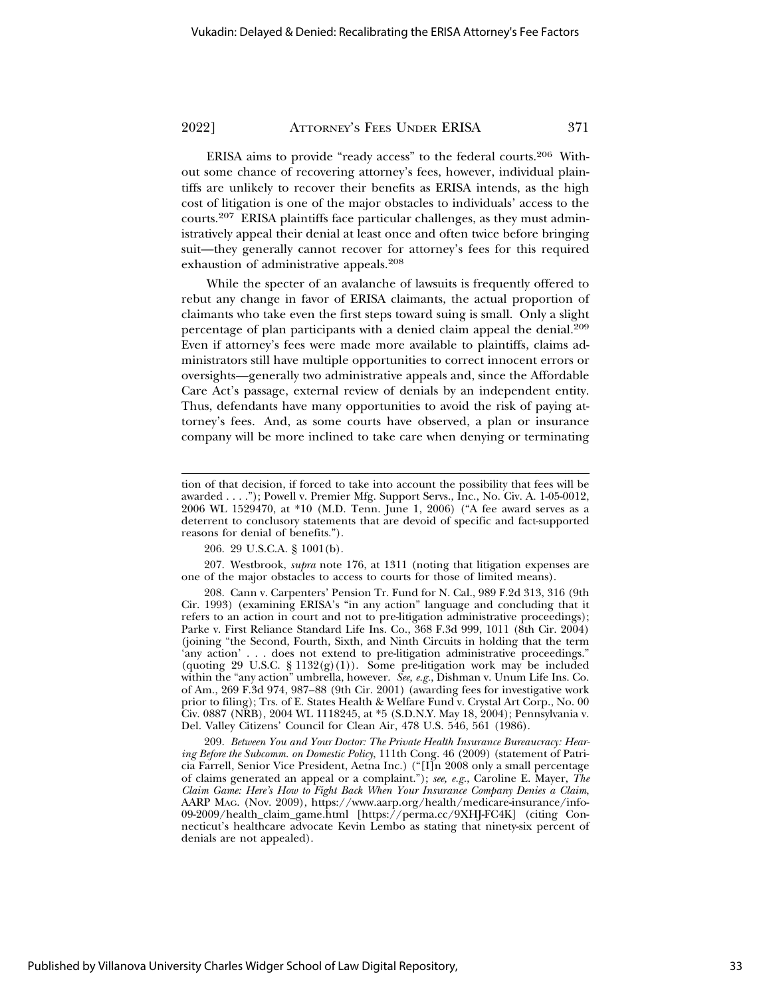ERISA aims to provide "ready access" to the federal courts.206 Without some chance of recovering attorney's fees, however, individual plaintiffs are unlikely to recover their benefits as ERISA intends, as the high cost of litigation is one of the major obstacles to individuals' access to the courts.207 ERISA plaintiffs face particular challenges, as they must administratively appeal their denial at least once and often twice before bringing suit—they generally cannot recover for attorney's fees for this required exhaustion of administrative appeals.208

While the specter of an avalanche of lawsuits is frequently offered to rebut any change in favor of ERISA claimants, the actual proportion of claimants who take even the first steps toward suing is small. Only a slight percentage of plan participants with a denied claim appeal the denial.209 Even if attorney's fees were made more available to plaintiffs, claims administrators still have multiple opportunities to correct innocent errors or oversights—generally two administrative appeals and, since the Affordable Care Act's passage, external review of denials by an independent entity. Thus, defendants have many opportunities to avoid the risk of paying attorney's fees. And, as some courts have observed, a plan or insurance company will be more inclined to take care when denying or terminating

206. 29 U.S.C.A. § 1001(b).

207. Westbrook, *supra* note 176, at 1311 (noting that litigation expenses are one of the major obstacles to access to courts for those of limited means).

208. Cann v. Carpenters' Pension Tr. Fund for N. Cal., 989 F.2d 313, 316 (9th Cir. 1993) (examining ERISA's "in any action" language and concluding that it refers to an action in court and not to pre-litigation administrative proceedings); Parke v. First Reliance Standard Life Ins. Co., 368 F.3d 999, 1011 (8th Cir. 2004) (joining "the Second, Fourth, Sixth, and Ninth Circuits in holding that the term 'any action' . . . does not extend to pre-litigation administrative proceedings." (quoting 29 U.S.C. § 1132(g)(1)). Some pre-litigation work may be included within the "any action" umbrella, however. *See, e.g.*, Dishman v. Unum Life Ins. Co. of Am., 269 F.3d 974, 987–88 (9th Cir. 2001) (awarding fees for investigative work prior to filing); Trs. of E. States Health & Welfare Fund v. Crystal Art Corp., No. 00 Civ. 0887 (NRB), 2004 WL 1118245, at \*5 (S.D.N.Y. May 18, 2004); Pennsylvania v. Del. Valley Citizens' Council for Clean Air, 478 U.S. 546, 561 (1986).

209. *Between You and Your Doctor: The Private Health Insurance Bureaucracy: Hearing Before the Subcomm. on Domestic Policy*, 111th Cong. 46 (2009) (statement of Patricia Farrell, Senior Vice President, Aetna Inc.) ("[I]n 2008 only a small percentage of claims generated an appeal or a complaint."); *see, e.g.*, Caroline E. Mayer, *The Claim Game: Here's How to Fight Back When Your Insurance Company Denies a Claim*, AARP MAG. (Nov. 2009), https://www.aarp.org/health/medicare-insurance/info-09-2009/health\_claim\_game.html [https://perma.cc/9XHJ-FC4K] (citing Connecticut's healthcare advocate Kevin Lembo as stating that ninety-six percent of denials are not appealed).

tion of that decision, if forced to take into account the possibility that fees will be awarded . . . ."); Powell v. Premier Mfg. Support Servs., Inc., No. Civ. A. 1-05-0012, 2006 WL 1529470, at \*10 (M.D. Tenn. June 1, 2006) ("A fee award serves as a deterrent to conclusory statements that are devoid of specific and fact-supported reasons for denial of benefits.").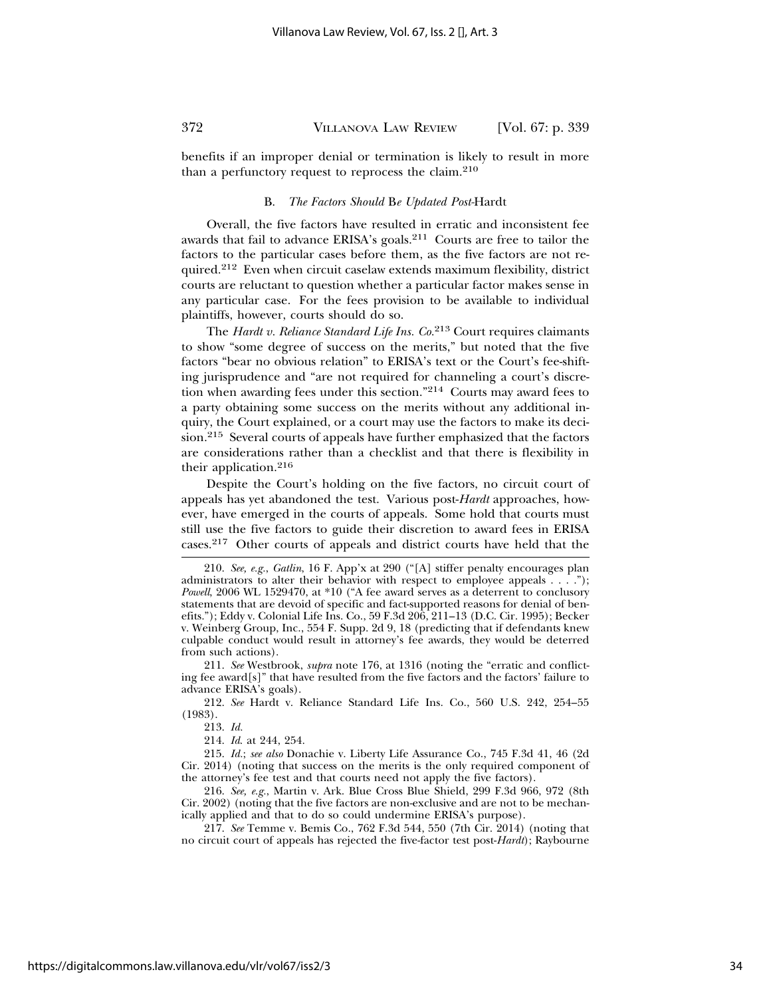benefits if an improper denial or termination is likely to result in more than a perfunctory request to reprocess the claim.210

#### B. *The Factors Should* B*e Updated Post-*Hardt

Overall, the five factors have resulted in erratic and inconsistent fee awards that fail to advance ERISA's goals.211 Courts are free to tailor the factors to the particular cases before them, as the five factors are not required.212 Even when circuit caselaw extends maximum flexibility, district courts are reluctant to question whether a particular factor makes sense in any particular case. For the fees provision to be available to individual plaintiffs, however, courts should do so.

The *Hardt v. Reliance Standard Life Ins. Co.*213 Court requires claimants to show "some degree of success on the merits," but noted that the five factors "bear no obvious relation" to ERISA's text or the Court's fee-shifting jurisprudence and "are not required for channeling a court's discretion when awarding fees under this section."214 Courts may award fees to a party obtaining some success on the merits without any additional inquiry, the Court explained, or a court may use the factors to make its decision.215 Several courts of appeals have further emphasized that the factors are considerations rather than a checklist and that there is flexibility in their application.216

Despite the Court's holding on the five factors, no circuit court of appeals has yet abandoned the test. Various post-*Hardt* approaches, however, have emerged in the courts of appeals. Some hold that courts must still use the five factors to guide their discretion to award fees in ERISA cases.217 Other courts of appeals and district courts have held that the

211. *See* Westbrook, *supra* note 176, at 1316 (noting the "erratic and conflicting fee award $[s]$ " that have resulted from the five factors and the factors' failure to advance ERISA's goals).

212. *See* Hardt v. Reliance Standard Life Ins. Co., 560 U.S. 242, 254–55 (1983).

213. *Id.*

214. *Id*. at 244, 254.

215. *Id.*; *see also* Donachie v. Liberty Life Assurance Co., 745 F.3d 41, 46 (2d Cir. 2014) (noting that success on the merits is the only required component of the attorney's fee test and that courts need not apply the five factors).

216. *See, e.g.*, Martin v. Ark. Blue Cross Blue Shield, 299 F.3d 966, 972 (8th Cir. 2002) (noting that the five factors are non-exclusive and are not to be mechanically applied and that to do so could undermine ERISA's purpose).

217. *See* Temme v. Bemis Co., 762 F.3d 544, 550 (7th Cir. 2014) (noting that no circuit court of appeals has rejected the five-factor test post-*Hardt*); Raybourne

<sup>210.</sup> *See, e.g.*, *Gatlin*, 16 F. App'x at 290 ("[A] stiffer penalty encourages plan administrators to alter their behavior with respect to employee appeals . . . ."); *Powell*, 2006 WL 1529470, at \*10 ("A fee award serves as a deterrent to conclusory statements that are devoid of specific and fact-supported reasons for denial of benefits."); Eddy v. Colonial Life Ins. Co., 59 F.3d 206, 211–13 (D.C. Cir. 1995); Becker v. Weinberg Group, Inc., 554 F. Supp. 2d 9, 18 (predicting that if defendants knew culpable conduct would result in attorney's fee awards, they would be deterred from such actions).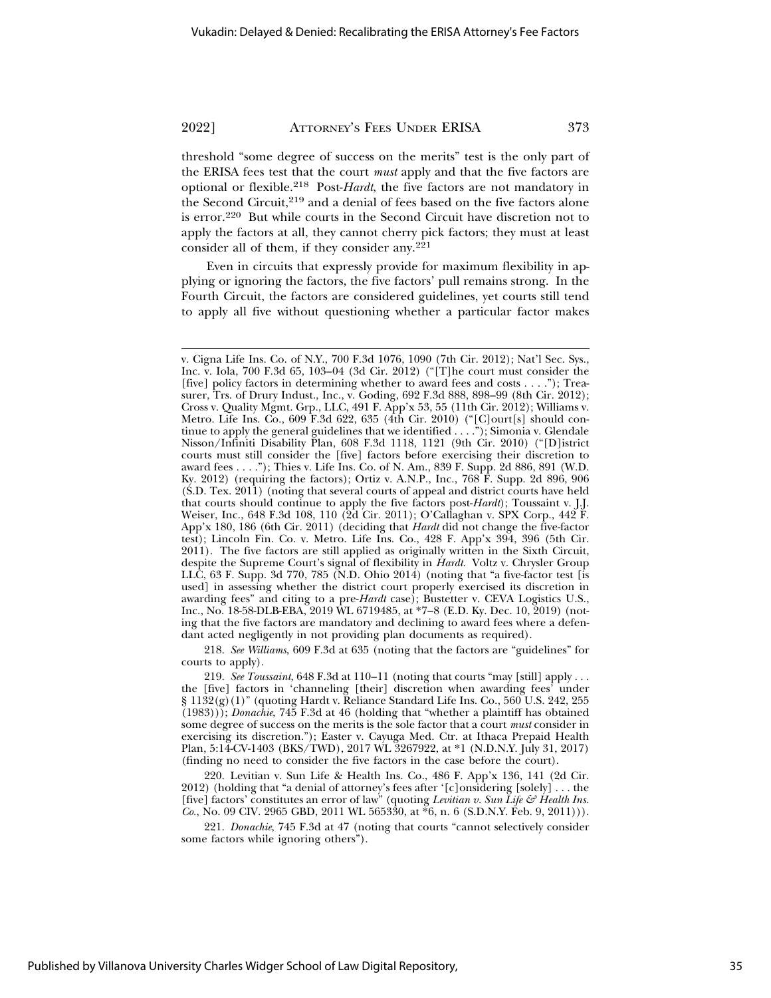threshold "some degree of success on the merits" test is the only part of the ERISA fees test that the court *must* apply and that the five factors are optional or flexible.218 Post-*Hardt*, the five factors are not mandatory in the Second Circuit,<sup>219</sup> and a denial of fees based on the five factors alone is error.220 But while courts in the Second Circuit have discretion not to apply the factors at all, they cannot cherry pick factors; they must at least consider all of them, if they consider any.221

Even in circuits that expressly provide for maximum flexibility in applying or ignoring the factors, the five factors' pull remains strong. In the Fourth Circuit, the factors are considered guidelines, yet courts still tend to apply all five without questioning whether a particular factor makes

218. *See Williams*, 609 F.3d at 635 (noting that the factors are "guidelines" for courts to apply).

v. Cigna Life Ins. Co. of N.Y., 700 F.3d 1076, 1090 (7th Cir. 2012); Nat'l Sec. Sys., Inc. v. Iola, 700 F.3d 65, 103–04 (3d Cir. 2012) ("[T]he court must consider the [five] policy factors in determining whether to award fees and costs . . . ."); Treasurer, Trs. of Drury Indust., Inc., v. Goding, 692 F.3d 888, 898–99 (8th Cir. 2012); Cross v. Quality Mgmt. Grp., LLC, 491 F. App'x 53, 55 (11th Cir. 2012); Williams v. Metro. Life Ins. Co., 609 F.3d 622, 635 (4th Cir. 2010) ("[C]ourt[s] should continue to apply the general guidelines that we identified . . . ."); Simonia v. Glendale Nisson/Infiniti Disability Plan, 608 F.3d 1118, 1121 (9th Cir. 2010) ("[D]istrict courts must still consider the [five] factors before exercising their discretion to award fees . . . ."); Thies v. Life Ins. Co. of N. Am., 839 F. Supp. 2d 886, 891 (W.D. Ky. 2012) (requiring the factors); Ortiz v. A.N.P., Inc., 768 F. Supp. 2d 896, 906 (S.D. Tex. 2011) (noting that several courts of appeal and district courts have held that courts should continue to apply the five factors post-*Hardt*); Toussaint v. J.J. Weiser, Inc., 648 F.3d 108, 110 (2d Cir. 2011); O'Callaghan v. SPX Corp., 442 F. App'x 180, 186 (6th Cir. 2011) (deciding that *Hardt* did not change the five-factor test); Lincoln Fin. Co. v. Metro. Life Ins. Co., 428 F. App'x 394, 396 (5th Cir. 2011). The five factors are still applied as originally written in the Sixth Circuit, despite the Supreme Court's signal of flexibility in *Hardt*. Voltz v. Chrysler Group LLC, 63 F. Supp. 3d 770, 785 (N.D. Ohio 2014) (noting that "a five-factor test [is used] in assessing whether the district court properly exercised its discretion in awarding fees" and citing to a pre-*Hardt* case); Bustetter v. CEVA Logistics U.S., Inc., No. 18-58-DLB-EBA, 2019 WL 6719485, at \*7–8 (E.D. Ky. Dec. 10, 2019) (noting that the five factors are mandatory and declining to award fees where a defendant acted negligently in not providing plan documents as required).

<sup>219.</sup> *See Toussaint*, 648 F.3d at 110–11 (noting that courts "may [still] apply . . . the [five] factors in 'channeling [their] discretion when awarding fees' under § 1132(g)(1)" (quoting Hardt v. Reliance Standard Life Ins. Co., 560 U.S. 242, 255 (1983))); *Donachie*, 745 F.3d at 46 (holding that "whether a plaintiff has obtained some degree of success on the merits is the sole factor that a court *must* consider in exercising its discretion."); Easter v. Cayuga Med. Ctr. at Ithaca Prepaid Health Plan, 5:14-CV-1403 (BKS/TWD), 2017 WL 3267922, at \*1 (N.D.N.Y. July 31, 2017) (finding no need to consider the five factors in the case before the court).

<sup>220.</sup> Levitian v. Sun Life & Health Ins. Co., 486 F. App'x 136, 141 (2d Cir. 2012) (holding that "a denial of attorney's fees after '[c]onsidering [solely]  $\dots$  the [five] factors' constitutes an error of law" (quoting *Levitian v. Sun Life & Health Ins. Co.*, No. 09 CIV. 2965 GBD, 2011 WL 565330, at  $*6$ , n. 6 (S.D.N.Y. Feb. 9, 2011)).

<sup>221.</sup> *Donachie*, 745 F.3d at 47 (noting that courts "cannot selectively consider some factors while ignoring others").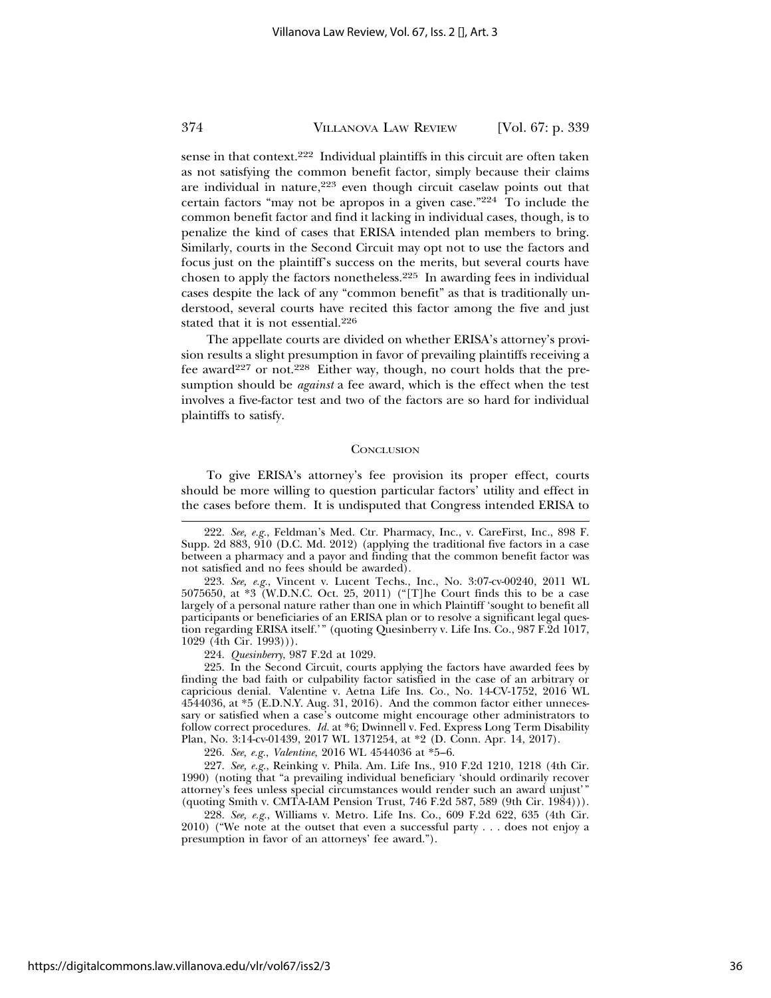sense in that context.222 Individual plaintiffs in this circuit are often taken as not satisfying the common benefit factor, simply because their claims are individual in nature,<sup>223</sup> even though circuit caselaw points out that certain factors "may not be apropos in a given case." $224$  To include the common benefit factor and find it lacking in individual cases, though, is to penalize the kind of cases that ERISA intended plan members to bring. Similarly, courts in the Second Circuit may opt not to use the factors and focus just on the plaintiff's success on the merits, but several courts have chosen to apply the factors nonetheless.225 In awarding fees in individual cases despite the lack of any "common benefit" as that is traditionally understood, several courts have recited this factor among the five and just stated that it is not essential.<sup>226</sup>

The appellate courts are divided on whether ERISA's attorney's provision results a slight presumption in favor of prevailing plaintiffs receiving a fee award<sup>227</sup> or not.<sup>228</sup> Either way, though, no court holds that the presumption should be *against* a fee award, which is the effect when the test involves a five-factor test and two of the factors are so hard for individual plaintiffs to satisfy.

#### **CONCLUSION**

To give ERISA's attorney's fee provision its proper effect, courts should be more willing to question particular factors' utility and effect in the cases before them. It is undisputed that Congress intended ERISA to

223. *See, e.g.*, Vincent v. Lucent Techs., Inc., No. 3:07-cv-00240, 2011 WL 5075650, at \*3 (W.D.N.C. Oct. 25, 2011) ("[T]he Court finds this to be a case largely of a personal nature rather than one in which Plaintiff 'sought to benefit all participants or beneficiaries of an ERISA plan or to resolve a significant legal question regarding ERISA itself.'" (quoting Quesinberry v. Life Ins. Co., 987 F.2d 1017, 1029 (4th Cir. 1993))).

224. *Quesinberry*, 987 F.2d at 1029.

225. In the Second Circuit, courts applying the factors have awarded fees by finding the bad faith or culpability factor satisfied in the case of an arbitrary or capricious denial. Valentine v. Aetna Life Ins. Co., No. 14-CV-1752, 2016 WL 4544036, at \*5 (E.D.N.Y. Aug. 31, 2016). And the common factor either unnecessary or satisfied when a case's outcome might encourage other administrators to follow correct procedures. *Id.* at \*6; Dwinnell v. Fed. Express Long Term Disability Plan, No. 3:14-cv-01439, 2017 WL 1371254, at \*2 (D. Conn. Apr. 14, 2017).

226. *See, e.g.*, *Valentine*, 2016 WL 4544036 at \*5–6.

227. *See, e.g.*, Reinking v. Phila. Am. Life Ins., 910 F.2d 1210, 1218 (4th Cir. 1990) (noting that "a prevailing individual beneficiary 'should ordinarily recover attorney's fees unless special circumstances would render such an award unjust'" (quoting Smith v. CMTA-IAM Pension Trust, 746 F.2d 587, 589 (9th Cir. 1984)).

228. *See, e.g.*, Williams v. Metro. Life Ins. Co., 609 F.2d 622, 635 (4th Cir. 2010) ("We note at the outset that even a successful party . . . does not enjoy a presumption in favor of an attorneys' fee award.").

<sup>222.</sup> *See, e.g.*, Feldman's Med. Ctr. Pharmacy, Inc., v. CareFirst, Inc., 898 F. Supp. 2d 883, 910 (D.C. Md. 2012) (applying the traditional five factors in a case between a pharmacy and a payor and finding that the common benefit factor was not satisfied and no fees should be awarded).